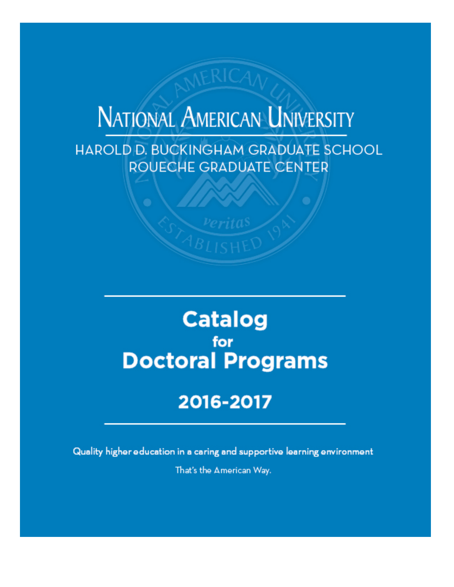# **NATIONAL AMERICAN UNIVERSITY**

HAROLD D. BUCKINGHAM GRADUATE SCHOOL ROUECHE GRADUATE CENTER

# **Catalog** for **Doctoral Programs**

# 2016-2017

Quality higher education in a caring and supportive learning environment That's the American Way.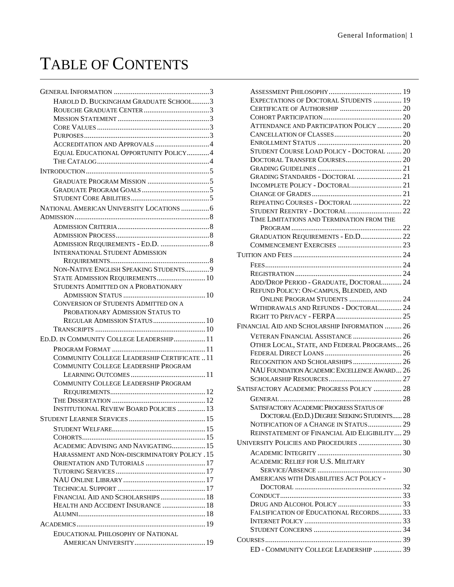# TABLE OF CONTENTS

| HAROLD D. BUCKINGHAM GRADUATE SCHOOL3                                          |  |
|--------------------------------------------------------------------------------|--|
|                                                                                |  |
|                                                                                |  |
|                                                                                |  |
|                                                                                |  |
| ACCREDITATION AND APPROVALS 4                                                  |  |
| EQUAL EDUCATIONAL OPPORTUNITY POLICY4                                          |  |
|                                                                                |  |
|                                                                                |  |
|                                                                                |  |
|                                                                                |  |
|                                                                                |  |
| NATIONAL AMERICAN UNIVERSITY LOCATIONS  6                                      |  |
|                                                                                |  |
|                                                                                |  |
|                                                                                |  |
|                                                                                |  |
| <b>INTERNATIONAL STUDENT ADMISSION</b>                                         |  |
|                                                                                |  |
| NON-NATIVE ENGLISH SPEAKING STUDENTS9                                          |  |
| STATE ADMISSION REQUIREMENTS 10                                                |  |
| STUDENTS ADMITTED ON A PROBATIONARY                                            |  |
|                                                                                |  |
| <b>CONVERSION OF STUDENTS ADMITTED ON A</b>                                    |  |
| PROBATIONARY ADMISSION STATUS TO                                               |  |
| REGULAR ADMISSION STATUS 10                                                    |  |
|                                                                                |  |
| ED.D. IN COMMUNITY COLLEGE LEADERSHIP 11                                       |  |
|                                                                                |  |
| COMMUNITY COLLEGE LEADERSHIP CERTIFICATE  11                                   |  |
| <b>COMMUNITY COLLEGE LEADERSHIP PROGRAM</b>                                    |  |
|                                                                                |  |
| COMMUNITY COLLEGE LEADERSHIP PROGRAM                                           |  |
|                                                                                |  |
| <b>INSTITUTIONAL REVIEW BOARD POLICIES  13</b>                                 |  |
| <b>STUDENT LEARNER SERVICES</b>                                                |  |
|                                                                                |  |
|                                                                                |  |
|                                                                                |  |
| ACADEMIC ADVISING AND NAVIGATING 15                                            |  |
| HARASSMENT AND NON-DISCRIMINATORY POLICY . 15<br>ORIENTATION AND TUTORIALS  17 |  |
|                                                                                |  |
|                                                                                |  |
|                                                                                |  |
| FINANCIAL AID AND SCHOLARSHIPS  18                                             |  |
| HEALTH AND ACCIDENT INSURANCE  18                                              |  |
|                                                                                |  |
|                                                                                |  |
| EDUCATIONAL PHILOSOPHY OF NATIONAL                                             |  |
|                                                                                |  |
|                                                                                |  |

| EXPECTATIONS OF DOCTORAL STUDENTS  19           |  |
|-------------------------------------------------|--|
|                                                 |  |
|                                                 |  |
| ATTENDANCE AND PARTICIPATION POLICY  20         |  |
|                                                 |  |
|                                                 |  |
| STUDENT COURSE LOAD POLICY - DOCTORAL  20       |  |
|                                                 |  |
|                                                 |  |
| GRADING STANDARDS - DOCTORAL  21                |  |
|                                                 |  |
|                                                 |  |
| REPEATING COURSES - DOCTORAL  22                |  |
| STUDENT REENTRY - DOCTORAL 22                   |  |
| TIME LIMITATIONS AND TERMINATION FROM THE       |  |
|                                                 |  |
| GRADUATION REQUIREMENTS - ED.D 22               |  |
|                                                 |  |
|                                                 |  |
|                                                 |  |
|                                                 |  |
| ADD/DROP PERIOD - GRADUATE, DOCTORAL 24         |  |
| REFUND POLICY: ON-CAMPUS, BLENDED, AND          |  |
| ONLINE PROGRAM STUDENTS  24                     |  |
| WITHDRAWALS AND REFUNDS - DOCTORAL 24           |  |
|                                                 |  |
| FINANCIAL AID AND SCHOLARSHIP INFORMATION  26   |  |
| VETERAN FINANCIAL ASSISTANCE  26                |  |
| OTHER LOCAL, STATE, AND FEDERAL PROGRAMS 26     |  |
|                                                 |  |
| RECOGNITION AND SCHOLARSHIPS 26                 |  |
| NAU FOUNDATION ACADEMIC EXCELLENCE AWARD 26     |  |
|                                                 |  |
| SATISFACTORY ACADEMIC PROGRESS POLICY  28       |  |
|                                                 |  |
|                                                 |  |
| <b>SATISFACTORY ACADEMIC PROGRESS STATUS OF</b> |  |
| DOCTORAL (ED.D.) DEGREE SEEKING STUDENTS 28     |  |
| NOTIFICATION OF A CHANGE IN STATUS 29           |  |
| REINSTATEMENT OF FINANCIAL AID ELIGIBILITY 29   |  |
| UNIVERSITY POLICIES AND PROCEDURES  30          |  |
|                                                 |  |
| <b>ACADEMIC RELIEF FOR U.S. MILITARY</b>        |  |
|                                                 |  |
| AMERICANS WITH DISABILITIES ACT POLICY -        |  |
|                                                 |  |
|                                                 |  |
|                                                 |  |
| FALSIFICATION OF EDUCATIONAL RECORDS 33         |  |
|                                                 |  |
|                                                 |  |
|                                                 |  |
| ED - COMMUNITY COLLEGE LEADERSHIP  39           |  |
|                                                 |  |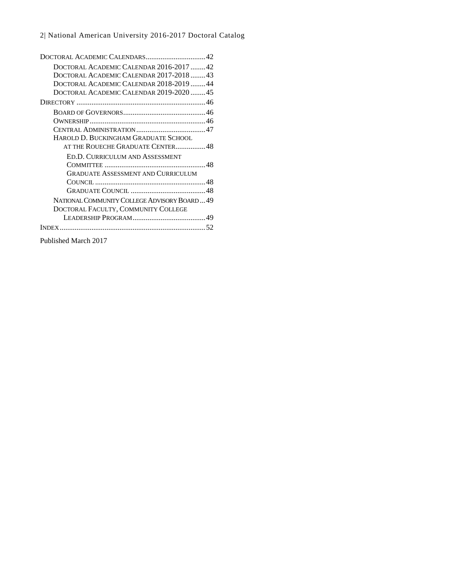| DOCTORAL ACADEMIC CALENDAR 2016-2017 42     |
|---------------------------------------------|
| DOCTORAL ACADEMIC CALENDAR 2017-201843      |
| DOCTORAL ACADEMIC CALENDAR 2018-2019  44    |
| DOCTORAL ACADEMIC CALENDAR 2019-2020 45     |
|                                             |
|                                             |
|                                             |
|                                             |
| HAROLD D. BUCKINGHAM GRADUATE SCHOOL        |
| AT THE ROUECHE GRADUATE CENTER48            |
| ED.D. CURRICULUM AND ASSESSMENT             |
|                                             |
| <b>GRADUATE ASSESSMENT AND CURRICULUM</b>   |
|                                             |
|                                             |
| NATIONAL COMMUNITY COLLEGE ADVISORY BOARD49 |
| DOCTORAL FACULTY, COMMUNITY COLLEGE         |
|                                             |
|                                             |
| Published March 2017                        |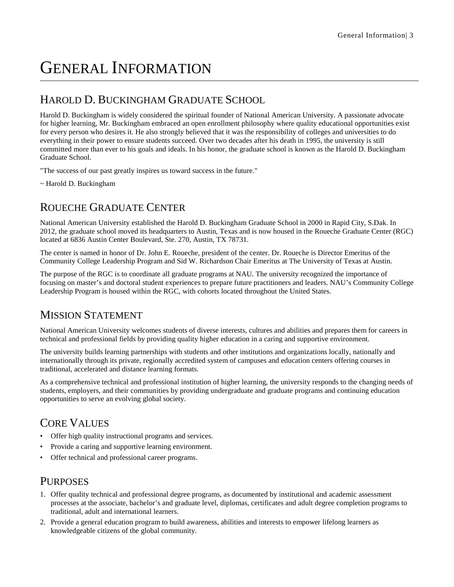# GENERAL INFORMATION

### HAROLD D. BUCKINGHAM GRADUATE SCHOOL

Harold D. Buckingham is widely considered the spiritual founder of National American University. A passionate advocate for higher learning, Mr. Buckingham embraced an open enrollment philosophy where quality educational opportunities exist for every person who desires it. He also strongly believed that it was the responsibility of colleges and universities to do everything in their power to ensure students succeed. Over two decades after his death in 1995, the university is still committed more than ever to his goals and ideals. In his honor, the graduate school is known as the Harold D. Buckingham Graduate School.

"The success of our past greatly inspires us toward success in the future."

~ Harold D. Buckingham

### ROUECHE GRADUATE CENTER

National American University established the Harold D. Buckingham Graduate School in 2000 in Rapid City, S.Dak. In 2012, the graduate school moved its headquarters to Austin, Texas and is now housed in the Roueche Graduate Center (RGC) located at 6836 Austin Center Boulevard, Ste. 270, Austin, TX 78731.

The center is named in honor of Dr. John E. Roueche, president of the center. Dr. Roueche is Director Emeritus of the Community College Leadership Program and Sid W. Richardson Chair Emeritus at The University of Texas at Austin.

The purpose of the RGC is to coordinate all graduate programs at NAU. The university recognized the importance of focusing on master's and doctoral student experiences to prepare future practitioners and leaders. NAU's Community College Leadership Program is housed within the RGC, with cohorts located throughout the United States.

### MISSION STATEMENT

National American University welcomes students of diverse interests, cultures and abilities and prepares them for careers in technical and professional fields by providing quality higher education in a caring and supportive environment.

The university builds learning partnerships with students and other institutions and organizations locally, nationally and internationally through its private, regionally accredited system of campuses and education centers offering courses in traditional, accelerated and distance learning formats.

As a comprehensive technical and professional institution of higher learning, the university responds to the changing needs of students, employers, and their communities by providing undergraduate and graduate programs and continuing education opportunities to serve an evolving global society.

### CORE VALUES

- Offer high quality instructional programs and services.
- Provide a caring and supportive learning environment.
- Offer technical and professional career programs.

### PURPOSES

- 1. Offer quality technical and professional degree programs, as documented by institutional and academic assessment processes at the associate, bachelor's and graduate level, diplomas, certificates and adult degree completion programs to traditional, adult and international learners.
- 2. Provide a general education program to build awareness, abilities and interests to empower lifelong learners as knowledgeable citizens of the global community.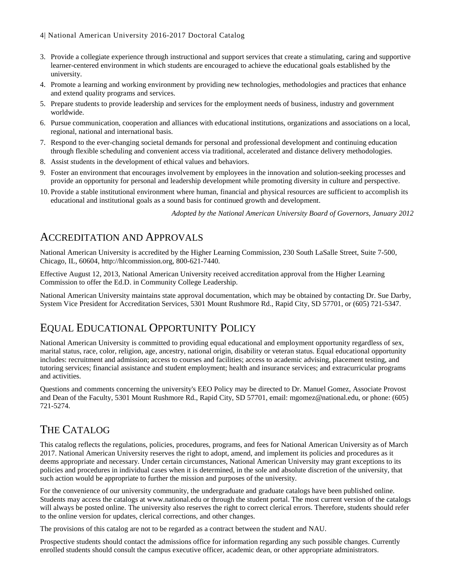### 4| National American University 2016-2017 Doctoral Catalog

- 3. Provide a collegiate experience through instructional and support services that create a stimulating, caring and supportive learner-centered environment in which students are encouraged to achieve the educational goals established by the university.
- 4. Promote a learning and working environment by providing new technologies, methodologies and practices that enhance and extend quality programs and services.
- 5. Prepare students to provide leadership and services for the employment needs of business, industry and government worldwide.
- 6. Pursue communication, cooperation and alliances with educational institutions, organizations and associations on a local, regional, national and international basis.
- 7. Respond to the ever-changing societal demands for personal and professional development and continuing education through flexible scheduling and convenient access via traditional, accelerated and distance delivery methodologies.
- 8. Assist students in the development of ethical values and behaviors.
- 9. Foster an environment that encourages involvement by employees in the innovation and solution-seeking processes and provide an opportunity for personal and leadership development while promoting diversity in culture and perspective.
- 10. Provide a stable institutional environment where human, financial and physical resources are sufficient to accomplish its educational and institutional goals as a sound basis for continued growth and development.

*Adopted by the National American University Board of Governors, January 2012*

### ACCREDITATION AND APPROVALS

National American University is accredited by the Higher Learning Commission, 230 South LaSalle Street, Suite 7-500, Chicago, IL, 60604, http://hlcommission.org, 800-621-7440.

Effective August 12, 2013, National American University received accreditation approval from the Higher Learning Commission to offer the Ed.D. in Community College Leadership.

National American University maintains state approval documentation, which may be obtained by contacting Dr. Sue Darby, System Vice President for Accreditation Services, 5301 Mount Rushmore Rd., Rapid City, SD 57701, or (605) 721-5347.

### EQUAL EDUCATIONAL OPPORTUNITY POLICY

National American University is committed to providing equal educational and employment opportunity regardless of sex, marital status, race, color, religion, age, ancestry, national origin, disability or veteran status. Equal educational opportunity includes: recruitment and admission; access to courses and facilities; access to academic advising, placement testing, and tutoring services; financial assistance and student employment; health and insurance services; and extracurricular programs and activities.

Questions and comments concerning the university's EEO Policy may be directed to Dr. Manuel Gomez, Associate Provost and Dean of the Faculty, 5301 Mount Rushmore Rd., Rapid City, SD 57701, email: mgomez@national.edu, or phone: (605) 721-5274.

### THE CATALOG

This catalog reflects the regulations, policies, procedures, programs, and fees for National American University as of March 2017. National American University reserves the right to adopt, amend, and implement its policies and procedures as it deems appropriate and necessary. Under certain circumstances, National American University may grant exceptions to its policies and procedures in individual cases when it is determined, in the sole and absolute discretion of the university, that such action would be appropriate to further the mission and purposes of the university.

For the convenience of our university community, the undergraduate and graduate catalogs have been published online. Students may access the catalogs at www.national.edu or through the student portal. The most current version of the catalogs will always be posted online. The university also reserves the right to correct clerical errors. Therefore, students should refer to the online version for updates, clerical corrections, and other changes.

The provisions of this catalog are not to be regarded as a contract between the student and NAU.

Prospective students should contact the admissions office for information regarding any such possible changes. Currently enrolled students should consult the campus executive officer, academic dean, or other appropriate administrators.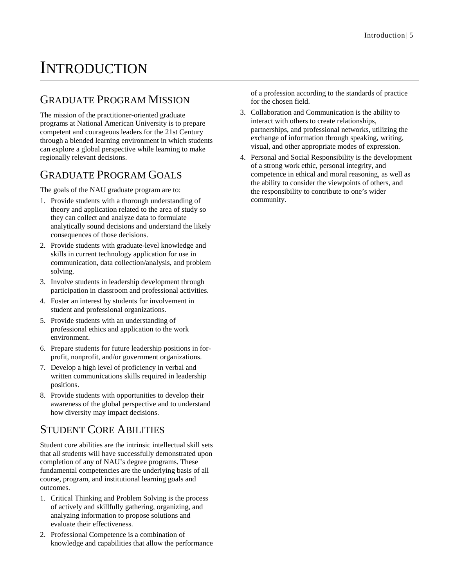# **INTRODUCTION**

### GRADUATE PROGRAM MISSION

The mission of the practitioner-oriented graduate programs at National American University is to prepare competent and courageous leaders for the 21st Century through a blended learning environment in which students can explore a global perspective while learning to make regionally relevant decisions.

### GRADUATE PROGRAM GOALS

The goals of the NAU graduate program are to:

- 1. Provide students with a thorough understanding of theory and application related to the area of study so they can collect and analyze data to formulate analytically sound decisions and understand the likely consequences of those decisions.
- 2. Provide students with graduate-level knowledge and skills in current technology application for use in communication, data collection/analysis, and problem solving.
- 3. Involve students in leadership development through participation in classroom and professional activities.
- 4. Foster an interest by students for involvement in student and professional organizations.
- 5. Provide students with an understanding of professional ethics and application to the work environment.
- 6. Prepare students for future leadership positions in forprofit, nonprofit, and/or government organizations.
- 7. Develop a high level of proficiency in verbal and written communications skills required in leadership positions.
- 8. Provide students with opportunities to develop their awareness of the global perspective and to understand how diversity may impact decisions.

### STUDENT CORE ABILITIES

Student core abilities are the intrinsic intellectual skill sets that all students will have successfully demonstrated upon completion of any of NAU's degree programs. These fundamental competencies are the underlying basis of all course, program, and institutional learning goals and outcomes.

- 1. Critical Thinking and Problem Solving is the process of actively and skillfully gathering, organizing, and analyzing information to propose solutions and evaluate their effectiveness.
- 2. Professional Competence is a combination of knowledge and capabilities that allow the performance

of a profession according to the standards of practice for the chosen field.

- 3. Collaboration and Communication is the ability to interact with others to create relationships, partnerships, and professional networks, utilizing the exchange of information through speaking, writing, visual, and other appropriate modes of expression.
- 4. Personal and Social Responsibility is the development of a strong work ethic, personal integrity, and competence in ethical and moral reasoning, as well as the ability to consider the viewpoints of others, and the responsibility to contribute to one's wider community.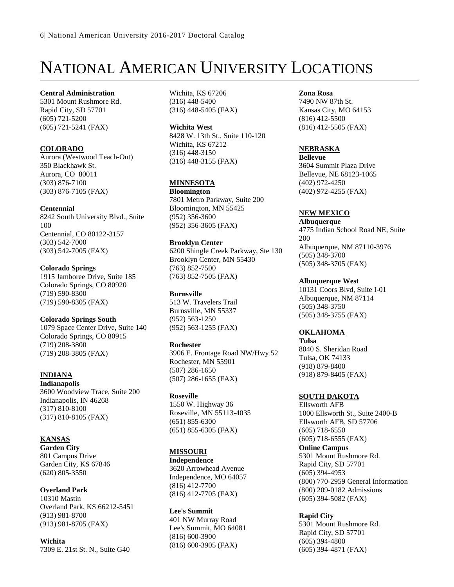# NATIONAL AMERICAN UNIVERSITY LOCATIONS

**Central Administration** 5301 Mount Rushmore Rd. Rapid City, SD 57701 (605) 721-5200 (605) 721-5241 (FAX)

### **COLORADO**

Aurora (Westwood Teach-Out) 350 Blackhawk St. Aurora, CO 80011 (303) 876-7100 (303) 876-7105 (FAX)

### **Centennial**

8242 South University Blvd., Suite 100 Centennial, CO 80122-3157 (303) 542-7000 (303) 542-7005 (FAX)

### **Colorado Springs**

1915 Jamboree Drive, Suite 185 Colorado Springs, CO 80920 (719) 590-8300 (719) 590-8305 (FAX)

### **Colorado Springs South**

1079 Space Center Drive, Suite 140 Colorado Springs, CO 80915 (719) 208-3800 (719) 208-3805 (FAX)

### **INDIANA**

**Indianapolis** 3600 Woodview Trace, Suite 200 Indianapolis, IN 46268 (317) 810-8100 (317) 810-8105 (FAX)

### **KANSAS**

**Garden City** 801 Campus Drive Garden City, KS 67846 (620) 805-3550

### **Overland Park**

10310 Mastin Overland Park, KS 66212-5451 (913) 981-8700 (913) 981-8705 (FAX)

**Wichita** 7309 E. 21st St. N., Suite G40 Wichita, KS 67206 (316) 448-5400 (316) 448-5405 (FAX)

**Wichita West** 8428 W. 13th St., Suite 110-120 Wichita, KS 67212 (316) 448-3150 (316) 448-3155 (FAX)

### **MINNESOTA**

**Bloomington** 7801 Metro Parkway, Suite 200 Bloomington, MN 55425 (952) 356-3600 (952) 356-3605 (FAX)

### **Brooklyn Center**

6200 Shingle Creek Parkway, Ste 130 Brooklyn Center, MN 55430 (763) 852-7500 (763) 852-7505 (FAX)

#### **Burnsville** 513 W. Travelers Trail Burnsville, MN 55337 (952) 563-1250 (952) 563-1255 (FAX)

### **Rochester**

3906 E. Frontage Road NW/Hwy 52 Rochester, MN 55901 (507) 286-1650 (507) 286-1655 (FAX)

### **Roseville**

1550 W. Highway 36 Roseville, MN 55113-4035 (651) 855-6300 (651) 855-6305 (FAX)

### **MISSOURI**

**Independence** 3620 Arrowhead Avenue Independence, MO 64057 (816) 412-7700 (816) 412-7705 (FAX)

**Lee's Summit** 401 NW Murray Road Lee's Summit, MO 64081 (816) 600-3900 (816) 600-3905 (FAX)

#### **Zona Rosa**

7490 NW 87th St. Kansas City, MO 64153 (816) 412-5500 (816) 412-5505 (FAX)

### **NEBRASKA**

**Bellevue** 3604 Summit Plaza Drive Bellevue, NE 68123-1065 (402) 972-4250 (402) 972-4255 (FAX)

### **NEW MEXICO**

**Albuquerque** 4775 Indian School Road NE, Suite 200 Albuquerque, NM 87110-3976 (505) 348-3700

(505) 348-3705 (FAX)

### **Albuquerque West**

10131 Coors Blvd, Suite I-01 Albuquerque, NM 87114 (505) 348-3750 (505) 348-3755 (FAX)

### **OKLAHOMA**

**Tulsa** 8040 S. Sheridan Road Tulsa, OK 74133 (918) 879-8400 (918) 879-8405 (FAX)

### **SOUTH DAKOTA**

Ellsworth AFB 1000 Ellsworth St., Suite 2400-B Ellsworth AFB, SD 57706 (605) 718-6550 (605) 718-6555 (FAX) **Online Campus** 5301 Mount Rushmore Rd. Rapid City, SD 57701 (605) 394-4953 (800) 770-2959 General Information (800) 209-0182 Admissions (605) 394-5082 (FAX)

### **Rapid City**

5301 Mount Rushmore Rd. Rapid City, SD 57701 (605) 394-4800 (605) 394-4871 (FAX)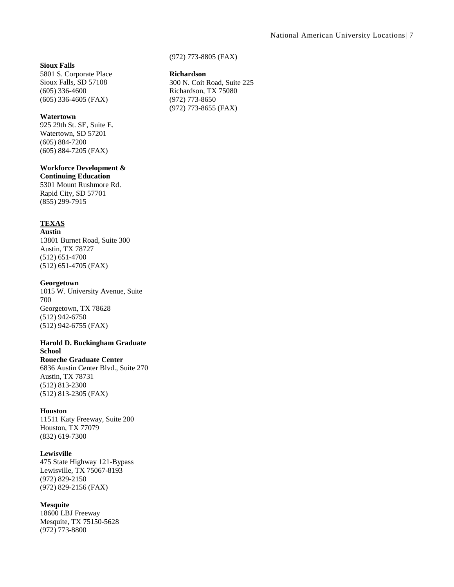#### **Sioux Falls**

5801 S. Corporate Place Sioux Falls, SD 57108 (605) 336-4600 (605) 336-4605 (FAX)

#### **Watertown**

925 29th St. SE, Suite E. Watertown, SD 57201 (605) 884-7200 (605) 884-7205 (FAX)

#### **Workforce Development &**

**Continuing Education** 5301 Mount Rushmore Rd. Rapid City, SD 57701 (855) 299-7915

### **TEXAS**

**Austin** 13801 Burnet Road, Suite 300 Austin, TX 78727 (512) 651-4700 (512) 651-4705 (FAX)

#### **Georgetown**

1015 W. University Avenue, Suite 700 Georgetown, TX 78628 (512) 942-6750 (512) 942-6755 (FAX)

#### **Harold D. Buckingham Graduate School**

**Roueche Graduate Center** 6836 Austin Center Blvd., Suite 270 Austin, TX 78731 (512) 813-2300 (512) 813-2305 (FAX)

### **Houston**

11511 Katy Freeway, Suite 200 Houston, TX 77079 (832) 619-7300

#### **Lewisville**

475 State Highway 121-Bypass Lewisville, TX 75067-8193 (972) 829-2150 (972) 829-2156 (FAX)

### **Mesquite**

18600 LBJ Freeway Mesquite, TX 75150-5628 (972) 773-8800

(972) 773-8805 (FAX)

#### **Richardson**

300 N. Coit Road, Suite 225 Richardson, TX 75080 (972) 773-8650 (972) 773-8655 (FAX)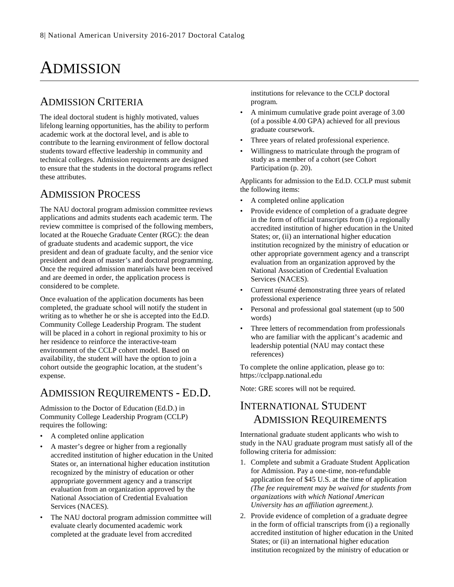# ADMISSION

### ADMISSION CRITERIA

The ideal doctoral student is highly motivated, values lifelong learning opportunities, has the ability to perform academic work at the doctoral level, and is able to contribute to the learning environment of fellow doctoral students toward effective leadership in community and technical colleges. Admission requirements are designed to ensure that the students in the doctoral programs reflect these attributes.

### ADMISSION PROCESS

The NAU doctoral program admission committee reviews applications and admits students each academic term. The review committee is comprised of the following members, located at the Roueche Graduate Center (RGC): the dean of graduate students and academic support, the vice president and dean of graduate faculty, and the senior vice president and dean of master's and doctoral programming. Once the required admission materials have been received and are deemed in order, the application process is considered to be complete.

Once evaluation of the application documents has been completed, the graduate school will notify the student in writing as to whether he or she is accepted into the Ed.D. Community College Leadership Program. The student will be placed in a cohort in regional proximity to his or her residence to reinforce the interactive-team environment of the CCLP cohort model. Based on availability, the student will have the option to join a cohort outside the geographic location, at the student's expense.

### ADMISSION REQUIREMENTS - ED.D.

Admission to the Doctor of Education (Ed.D.) in Community College Leadership Program (CCLP) requires the following:

- A completed online application
- A master's degree or higher from a regionally accredited institution of higher education in the United States or, an international higher education institution recognized by the ministry of education or other appropriate government agency and a transcript evaluation from an organization approved by the National Association of Credential Evaluation Services (NACES).
- The NAU doctoral program admission committee will evaluate clearly documented academic work completed at the graduate level from accredited

institutions for relevance to the CCLP doctoral program.

- A minimum cumulative grade point average of 3.00 (of a possible 4.00 GPA) achieved for all previous graduate coursework.
- Three years of related professional experience.
- Willingness to matriculate through the program of study as a member of a cohort (see Cohort Participation (p. [20\)](#page-20-0).

Applicants for admission to the Ed.D. CCLP must submit the following items:

- A completed online application
- Provide evidence of completion of a graduate degree in the form of official transcripts from (i) a regionally accredited institution of higher education in the United States; or, (ii) an international higher education institution recognized by the ministry of education or other appropriate government agency and a transcript evaluation from an organization approved by the National Association of Credential Evaluation Services (NACES).
- Current résumé demonstrating three years of related professional experience
- Personal and professional goal statement (up to 500 words)
- Three letters of recommendation from professionals who are familiar with the applicant's academic and leadership potential (NAU may contact these references)

To complete the online application, please go to: https://cclpapp.national.edu

Note: GRE scores will not be required.

### INTERNATIONAL STUDENT ADMISSION REQUIREMENTS

International graduate student applicants who wish to study in the NAU graduate program must satisfy all of the following criteria for admission:

- 1. Complete and submit a Graduate Student Application for Admission. Pay a one-time, non-refundable application fee of \$45 U.S. at the time of application *(The fee requirement may be waived for students from organizations with which National American University has an affiliation agreement.).*
- 2. Provide evidence of completion of a graduate degree in the form of official transcripts from (i) a regionally accredited institution of higher education in the United States; or (ii) an international higher education institution recognized by the ministry of education or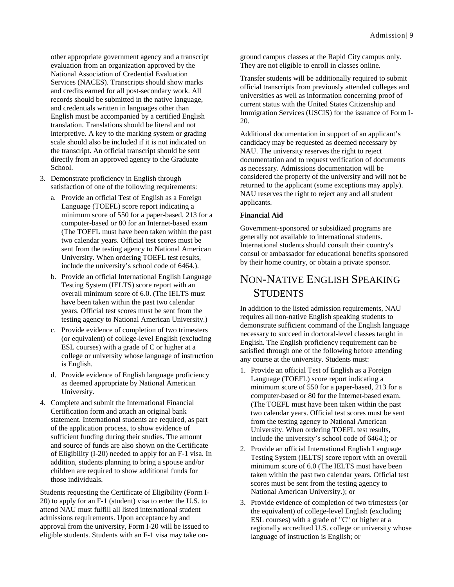other appropriate government agency and a transcript evaluation from an organization approved by the National Association of Credential Evaluation Services (NACES). Transcripts should show marks and credits earned for all post-secondary work. All records should be submitted in the native language, and credentials written in languages other than English must be accompanied by a certified English translation. Translations should be literal and not interpretive. A key to the marking system or grading scale should also be included if it is not indicated on the transcript. An official transcript should be sent directly from an approved agency to the Graduate School.

- 3. Demonstrate proficiency in English through satisfaction of one of the following requirements:
	- a. Provide an official Test of English as a Foreign Language (TOEFL) score report indicating a minimum score of 550 for a paper-based, 213 for a computer-based or 80 for an Internet-based exam (The TOEFL must have been taken within the past two calendar years. Official test scores must be sent from the testing agency to National American University. When ordering TOEFL test results, include the university's school code of 6464.).
	- b. Provide an official International English Language Testing System (IELTS) score report with an overall minimum score of 6.0. (The IELTS must have been taken within the past two calendar years. Official test scores must be sent from the testing agency to National American University.)
	- c. Provide evidence of completion of two trimesters (or equivalent) of college-level English (excluding ESL courses) with a grade of C or higher at a college or university whose language of instruction is English.
	- d. Provide evidence of English language proficiency as deemed appropriate by National American University.
- 4. Complete and submit the International Financial Certification form and attach an original bank statement. International students are required, as part of the application process, to show evidence of sufficient funding during their studies. The amount and source of funds are also shown on the Certificate of Eligibility (I-20) needed to apply for an F-1 visa. In addition, students planning to bring a spouse and/or children are required to show additional funds for those individuals.

Students requesting the Certificate of Eligibility (Form I-20) to apply for an F-1 (student) visa to enter the U.S. to attend NAU must fulfill all listed international student admissions requirements. Upon acceptance by and approval from the university, Form I-20 will be issued to eligible students. Students with an F-1 visa may take on-

ground campus classes at the Rapid City campus only. They are not eligible to enroll in classes online.

Transfer students will be additionally required to submit official transcripts from previously attended colleges and universities as well as information concerning proof of current status with the United States Citizenship and Immigration Services (USCIS) for the issuance of Form I-20.

Additional documentation in support of an applicant's candidacy may be requested as deemed necessary by NAU. The university reserves the right to reject documentation and to request verification of documents as necessary. Admissions documentation will be considered the property of the university and will not be returned to the applicant (some exceptions may apply). NAU reserves the right to reject any and all student applicants.

### **Financial Aid**

Government-sponsored or subsidized programs are generally not available to international students. International students should consult their country's consul or ambassador for educational benefits sponsored by their home country, or obtain a private sponsor.

### NON-NATIVE ENGLISH SPEAKING **STUDENTS**

In addition to the listed admission requirements, NAU requires all non-native English speaking students to demonstrate sufficient command of the English language necessary to succeed in doctoral-level classes taught in English. The English proficiency requirement can be satisfied through one of the following before attending any course at the university. Students must:

- 1. Provide an official Test of English as a Foreign Language (TOEFL) score report indicating a minimum score of 550 for a paper-based, 213 for a computer-based or 80 for the Internet-based exam. (The TOEFL must have been taken within the past two calendar years. Official test scores must be sent from the testing agency to National American University. When ordering TOEFL test results, include the university's school code of 6464.); or
- 2. Provide an official International English Language Testing System (IELTS) score report with an overall minimum score of 6.0 (The IELTS must have been taken within the past two calendar years. Official test scores must be sent from the testing agency to National American University.); or
- 3. Provide evidence of completion of two trimesters (or the equivalent) of college-level English (excluding ESL courses) with a grade of "C" or higher at a regionally accredited U.S. college or university whose language of instruction is English; or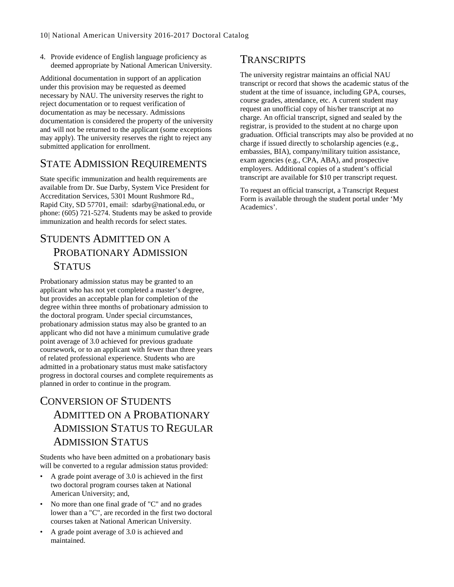4. Provide evidence of English language proficiency as deemed appropriate by National American University.

Additional documentation in support of an application under this provision may be requested as deemed necessary by NAU. The university reserves the right to reject documentation or to request verification of documentation as may be necessary. Admissions documentation is considered the property of the university and will not be returned to the applicant (some exceptions may apply). The university reserves the right to reject any submitted application for enrollment.

### STATE ADMISSION REQUIREMENTS

State specific immunization and health requirements are available from Dr. Sue Darby, System Vice President for Accreditation Services, 5301 Mount Rushmore Rd., Rapid City, SD 57701, email: sdarby@national.edu, or phone: (605) 721-5274. Students may be asked to provide immunization and health records for select states.

### STUDENTS ADMITTED ON A PROBATIONARY ADMISSION STATUS

Probationary admission status may be granted to an applicant who has not yet completed a master's degree, but provides an acceptable plan for completion of the degree within three months of probationary admission to the doctoral program. Under special circumstances, probationary admission status may also be granted to an applicant who did not have a minimum cumulative grade point average of 3.0 achieved for previous graduate coursework, or to an applicant with fewer than three years of related professional experience. Students who are admitted in a probationary status must make satisfactory progress in doctoral courses and complete requirements as planned in order to continue in the program.

### CONVERSION OF STUDENTS ADMITTED ON A PROBATIONARY ADMISSION STATUS TO REGULAR ADMISSION STATUS

Students who have been admitted on a probationary basis will be converted to a regular admission status provided:

- A grade point average of 3.0 is achieved in the first two doctoral program courses taken at National American University; and,
- No more than one final grade of "C" and no grades lower than a "C", are recorded in the first two doctoral courses taken at National American University.
- A grade point average of 3.0 is achieved and maintained.

### TRANSCRIPTS

The university registrar maintains an official NAU transcript or record that shows the academic status of the student at the time of issuance, including GPA, courses, course grades, attendance, etc. A current student may request an unofficial copy of his/her transcript at no charge. An official transcript, signed and sealed by the registrar, is provided to the student at no charge upon graduation. Official transcripts may also be provided at no charge if issued directly to scholarship agencies (e.g., embassies, BIA), company/military tuition assistance, exam agencies (e.g., CPA, ABA), and prospective employers. Additional copies of a student's official transcript are available for \$10 per transcript request.

To request an official transcript, a Transcript Request Form is available through the student portal under 'My Academics'.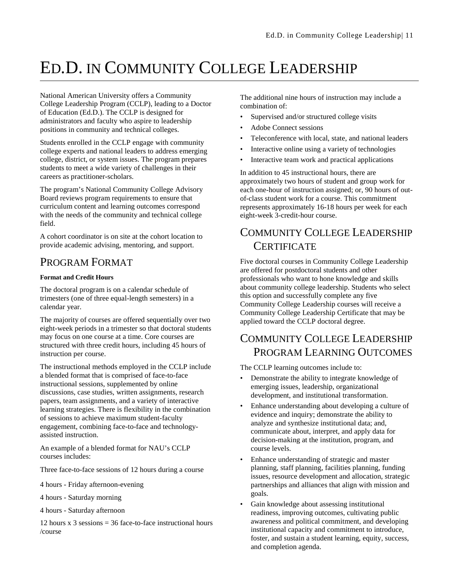# ED.D. IN COMMUNITY COLLEGE LEADERSHIP

National American University offers a Community College Leadership Program (CCLP), leading to a Doctor of Education (Ed.D.). The CCLP is designed for administrators and faculty who aspire to leadership positions in community and technical colleges.

Students enrolled in the CCLP engage with community college experts and national leaders to address emerging college, district, or system issues. The program prepares students to meet a wide variety of challenges in their careers as practitioner-scholars.

The program's National Community College Advisory Board reviews program requirements to ensure that curriculum content and learning outcomes correspond with the needs of the community and technical college field.

A cohort coordinator is on site at the cohort location to provide academic advising, mentoring, and support.

### PROGRAM FORMAT

### **Format and Credit Hours**

The doctoral program is on a calendar schedule of trimesters (one of three equal-length semesters) in a calendar year.

The majority of courses are offered sequentially over two eight-week periods in a trimester so that doctoral students may focus on one course at a time. Core courses are structured with three credit hours, including 45 hours of instruction per course.

The instructional methods employed in the CCLP include a blended format that is comprised of face-to-face instructional sessions, supplemented by online discussions, case studies, written assignments, research papers, team assignments, and a variety of interactive learning strategies. There is flexibility in the combination of sessions to achieve maximum student-faculty engagement, combining face-to-face and technologyassisted instruction.

An example of a blended format for NAU's CCLP courses includes:

Three face-to-face sessions of 12 hours during a course

4 hours - Friday afternoon-evening

4 hours - Saturday morning

4 hours - Saturday afternoon

12 hours  $x$  3 sessions = 36 face-to-face instructional hours /course

The additional nine hours of instruction may include a combination of:

- Supervised and/or structured college visits
- Adobe Connect sessions
- Teleconference with local, state, and national leaders
- Interactive online using a variety of technologies
- Interactive team work and practical applications

In addition to 45 instructional hours, there are approximately two hours of student and group work for each one-hour of instruction assigned; or, 90 hours of outof-class student work for a course. This commitment represents approximately 16-18 hours per week for each eight-week 3-credit-hour course.

### COMMUNITY COLLEGE LEADERSHIP **CERTIFICATE**

Five doctoral courses in Community College Leadership are offered for postdoctoral students and other professionals who want to hone knowledge and skills about community college leadership. Students who select this option and successfully complete any five Community College Leadership courses will receive a Community College Leadership Certificate that may be applied toward the CCLP doctoral degree.

### COMMUNITY COLLEGE LEADERSHIP PROGRAM LEARNING OUTCOMES

The CCLP learning outcomes include to:

- Demonstrate the ability to integrate knowledge of emerging issues, leadership, organizational development, and institutional transformation.
- Enhance understanding about developing a culture of evidence and inquiry; demonstrate the ability to analyze and synthesize institutional data; and, communicate about, interpret, and apply data for decision-making at the institution, program, and course levels.
- Enhance understanding of strategic and master planning, staff planning, facilities planning, funding issues, resource development and allocation, strategic partnerships and alliances that align with mission and goals.
- Gain knowledge about assessing institutional readiness, improving outcomes, cultivating public awareness and political commitment, and developing institutional capacity and commitment to introduce, foster, and sustain a student learning, equity, success, and completion agenda.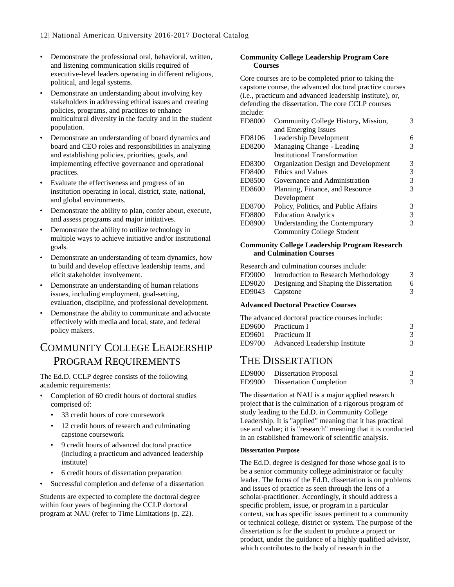- Demonstrate the professional oral, behavioral, written, and listening communication skills required of executive-level leaders operating in different religious, political, and legal systems.
- Demonstrate an understanding about involving key stakeholders in addressing ethical issues and creating policies, programs, and practices to enhance multicultural diversity in the faculty and in the student population.
- Demonstrate an understanding of board dynamics and board and CEO roles and responsibilities in analyzing and establishing policies, priorities, goals, and implementing effective governance and operational practices.
- Evaluate the effectiveness and progress of an institution operating in local, district, state, national, and global environments.
- Demonstrate the ability to plan, confer about, execute, and assess programs and major initiatives.
- Demonstrate the ability to utilize technology in multiple ways to achieve initiative and/or institutional goals.
- Demonstrate an understanding of team dynamics, how to build and develop effective leadership teams, and elicit stakeholder involvement.
- Demonstrate an understanding of human relations issues, including employment, goal-setting, evaluation, discipline, and professional development.
- Demonstrate the ability to communicate and advocate effectively with media and local, state, and federal policy makers.

### COMMUNITY COLLEGE LEADERSHIP PROGRAM REQUIREMENTS

The Ed.D. CCLP degree consists of the following academic requirements:

- Completion of 60 credit hours of doctoral studies comprised of:
	- 33 credit hours of core coursework
	- 12 credit hours of research and culminating capstone coursework
	- 9 credit hours of advanced doctoral practice (including a practicum and advanced leadership institute)
	- 6 credit hours of dissertation preparation
- Successful completion and defense of a dissertation

Students are expected to complete the doctoral degree within four years of beginning the CCLP doctoral program at NAU (refer to Time Limitations (p. [22\)](#page-22-0).

### **Community College Leadership Program Core Courses**

Core courses are to be completed prior to taking the capstone course, the advanced doctoral practice courses (i.e., practicum and advanced leadership institute), or, defending the dissertation. The core CCLP courses include:

| <b>ED8000</b> | Community College History, Mission,  | 3 |
|---------------|--------------------------------------|---|
|               | and Emerging Issues                  |   |
| ED8106        | Leadership Development               | 6 |
| ED8200        | Managing Change - Leading            | 3 |
|               | Institutional Transformation         |   |
| ED8300        | Organization Design and Development  | 3 |
| ED8400        | Ethics and Values                    | 3 |
| ED8500        | Governance and Administration        | 3 |
| ED8600        | Planning, Finance, and Resource      | 3 |
|               | Development                          |   |
| ED8700        | Policy, Politics, and Public Affairs | 3 |
| <b>ED8800</b> | <b>Education Analytics</b>           | 3 |
| <b>ED8900</b> | Understanding the Contemporary       | 3 |
|               | Community College Student            |   |

#### **Community College Leadership Program Research and Culmination Courses**

Research and culmination courses include: ED9000 Introduction to Research Methodology 3 ED9020 Designing and Shaping the Dissertation 6 ED9043 Capstone 3

### **Advanced Doctoral Practice Courses**

| The advanced doctoral practice courses include: |  |  |
|-------------------------------------------------|--|--|
| 3                                               |  |  |
| $\mathcal{R}$                                   |  |  |
| 3                                               |  |  |
|                                                 |  |  |

### THE DISSERTATION

| ED9800 | Dissertation Proposal          |  |
|--------|--------------------------------|--|
| ED9900 | <b>Dissertation Completion</b> |  |

The dissertation at NAU is a major applied research project that is the culmination of a rigorous program of study leading to the Ed.D. in Community College Leadership. It is "applied" meaning that it has practical use and value; it is "research" meaning that it is conducted in an established framework of scientific analysis.

#### **Dissertation Purpose**

The Ed.D. degree is designed for those whose goal is to be a senior community college administrator or faculty leader. The focus of the Ed.D. dissertation is on problems and issues of practice as seen through the lens of a scholar-practitioner. Accordingly, it should address a specific problem, issue, or program in a particular context, such as specific issues pertinent to a community or technical college, district or system. The purpose of the dissertation is for the student to produce a project or product, under the guidance of a highly qualified advisor, which contributes to the body of research in the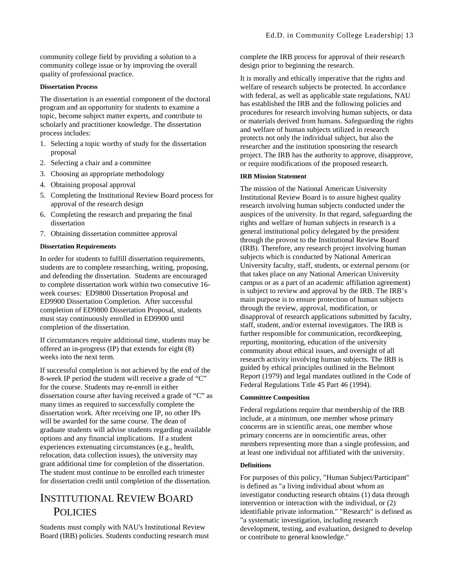community college field by providing a solution to a community college issue or by improving the overall quality of professional practice.

#### **Dissertation Process**

The dissertation is an essential component of the doctoral program and an opportunity for students to examine a topic, become subject matter experts, and contribute to scholarly and practitioner knowledge. The dissertation process includes:

- 1. Selecting a topic worthy of study for the dissertation proposal
- 2. Selecting a chair and a committee
- 3. Choosing an appropriate methodology
- 4. Obtaining proposal approval
- 5. Completing the Institutional Review Board process for approval of the research design
- 6. Completing the research and preparing the final dissertation
- 7. Obtaining dissertation committee approval

#### **Dissertation Requirements**

In order for students to fulfill dissertation requirements, students are to complete researching, writing, proposing, and defending the dissertation. Students are encouraged to complete dissertation work within two consecutive 16 week courses: ED9800 Dissertation Proposal and ED9900 Dissertation Completion. After successful completion of ED9800 Dissertation Proposal, students must stay continuously enrolled in ED9900 until completion of the dissertation.

If circumstances require additional time, students may be offered an in-progress (IP) that extends for eight (8) weeks into the next term.

If successful completion is not achieved by the end of the 8-week IP period the student will receive a grade of "C" for the course. Students may re-enroll in either dissertation course after having received a grade of "C" as many times as required to successfully complete the dissertation work. After receiving one IP, no other IPs will be awarded for the same course. The dean of graduate students will advise students regarding available options and any financial implications. If a student experiences extenuating circumstances (e.g., health, relocation, data collection issues), the university may grant additional time for completion of the dissertation. The student must continue to be enrolled each trimester for dissertation credit until completion of the dissertation.

### INSTITUTIONAL REVIEW BOARD **POLICIES**

Students must comply with NAU's Institutional Review Board (IRB) policies. Students conducting research must complete the IRB process for approval of their research design prior to beginning the research.

It is morally and ethically imperative that the rights and welfare of research subjects be protected. In accordance with federal, as well as applicable state regulations, NAU has established the IRB and the following policies and procedures for research involving human subjects, or data or materials derived from humans. Safeguarding the rights and welfare of human subjects utilized in research protects not only the individual subject, but also the researcher and the institution sponsoring the research project. The IRB has the authority to approve, disapprove, or require modifications of the proposed research.

#### **IRB Mission Statement**

The mission of the National American University Institutional Review Board is to assure highest quality research involving human subjects conducted under the auspices of the university. In that regard, safeguarding the rights and welfare of human subjects in research is a general institutional policy delegated by the president through the provost to the Institutional Review Board (IRB). Therefore, any research project involving human subjects which is conducted by National American University faculty, staff, students, or external persons (or that takes place on any National American University campus or as a part of an academic affiliation agreement) is subject to review and approval by the IRB. The IRB's main purpose is to ensure protection of human subjects through the review, approval, modification, or disapproval of research applications submitted by faculty, staff, student, and/or external investigators. The IRB is further responsible for communication, recordkeeping, reporting, monitoring, education of the university community about ethical issues, and oversight of all research activity involving human subjects. The IRB is guided by ethical principles outlined in the Belmont Report (1979) and legal mandates outlined in the Code of Federal Regulations Title 45 Part 46 (1994).

#### **Committee Composition**

Federal regulations require that membership of the IRB include, at a minimum, one member whose primary concerns are in scientific areas, one member whose primary concerns are in nonscientific areas, other members representing more than a single profession, and at least one individual not affiliated with the university.

#### **Definitions**

For purposes of this policy, "Human Subject/Participant" is defined as "a living individual about whom an investigator conducting research obtains (1) data through intervention or interaction with the individual, or (2) identifiable private information." "Research" is defined as "a systematic investigation, including research development, testing, and evaluation, designed to develop or contribute to general knowledge."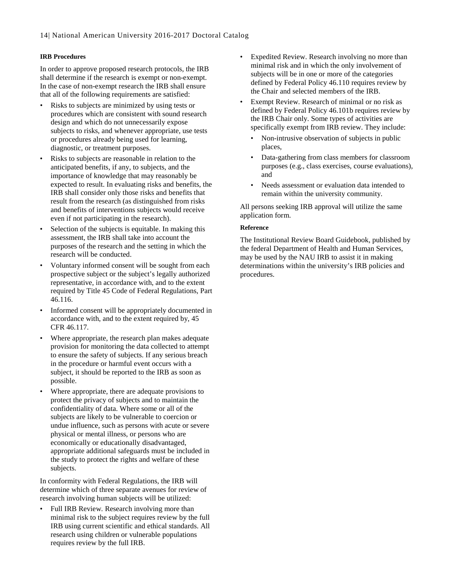#### **IRB Procedures**

In order to approve proposed research protocols, the IRB shall determine if the research is exempt or non-exempt. In the case of non-exempt research the IRB shall ensure that all of the following requirements are satisfied:

- Risks to subjects are minimized by using tests or procedures which are consistent with sound research design and which do not unnecessarily expose subjects to risks, and whenever appropriate, use tests or procedures already being used for learning, diagnostic, or treatment purposes.
- Risks to subjects are reasonable in relation to the anticipated benefits, if any, to subjects, and the importance of knowledge that may reasonably be expected to result. In evaluating risks and benefits, the IRB shall consider only those risks and benefits that result from the research (as distinguished from risks and benefits of interventions subjects would receive even if not participating in the research).
- Selection of the subjects is equitable. In making this assessment, the IRB shall take into account the purposes of the research and the setting in which the research will be conducted.
- Voluntary informed consent will be sought from each prospective subject or the subject's legally authorized representative, in accordance with, and to the extent required by Title 45 Code of Federal Regulations, Part 46.116.
- Informed consent will be appropriately documented in accordance with, and to the extent required by, 45 CFR 46.117.
- Where appropriate, the research plan makes adequate provision for monitoring the data collected to attempt to ensure the safety of subjects. If any serious breach in the procedure or harmful event occurs with a subject, it should be reported to the IRB as soon as possible.
- Where appropriate, there are adequate provisions to protect the privacy of subjects and to maintain the confidentiality of data. Where some or all of the subjects are likely to be vulnerable to coercion or undue influence, such as persons with acute or severe physical or mental illness, or persons who are economically or educationally disadvantaged, appropriate additional safeguards must be included in the study to protect the rights and welfare of these subjects.

In conformity with Federal Regulations, the IRB will determine which of three separate avenues for review of research involving human subjects will be utilized:

• Full IRB Review. Research involving more than minimal risk to the subject requires review by the full IRB using current scientific and ethical standards. All research using children or vulnerable populations requires review by the full IRB.

- Expedited Review. Research involving no more than minimal risk and in which the only involvement of subjects will be in one or more of the categories defined by Federal Policy 46.110 requires review by the Chair and selected members of the IRB.
- Exempt Review. Research of minimal or no risk as defined by Federal Policy 46.101b requires review by the IRB Chair only. Some types of activities are specifically exempt from IRB review. They include:
	- Non-intrusive observation of subjects in public places,
	- Data-gathering from class members for classroom purposes (e.g., class exercises, course evaluations), and
	- Needs assessment or evaluation data intended to remain within the university community.

All persons seeking IRB approval will utilize the same application form.

#### **Reference**

The Institutional Review Board Guidebook, published by the federal Department of Health and Human Services, may be used by the NAU IRB to assist it in making determinations within the university's IRB policies and procedures.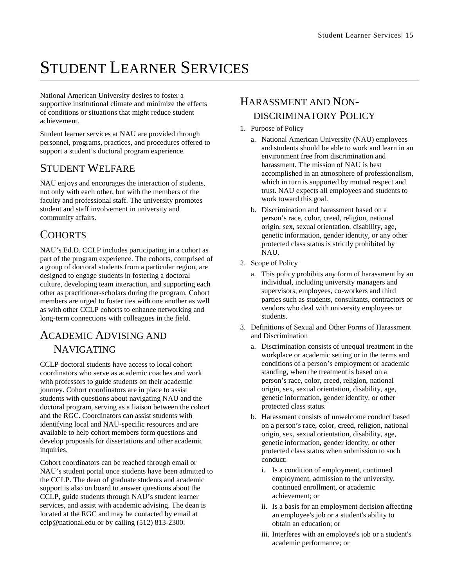# STUDENT LEARNER SERVICES

National American University desires to foster a supportive institutional climate and minimize the effects of conditions or situations that might reduce student achievement.

Student learner services at NAU are provided through personnel, programs, practices, and procedures offered to support a student's doctoral program experience.

### STUDENT WELFARE

NAU enjoys and encourages the interaction of students, not only with each other, but with the members of the faculty and professional staff. The university promotes student and staff involvement in university and community affairs.

### **COHORTS**

NAU's Ed.D. CCLP includes participating in a cohort as part of the program experience. The cohorts, comprised of a group of doctoral students from a particular region, are designed to engage students in fostering a doctoral culture, developing team interaction, and supporting each other as practitioner-scholars during the program. Cohort members are urged to foster ties with one another as well as with other CCLP cohorts to enhance networking and long-term connections with colleagues in the field.

### ACADEMIC ADVISING AND NAVIGATING

CCLP doctoral students have access to local cohort coordinators who serve as academic coaches and work with professors to guide students on their academic journey. Cohort coordinators are in place to assist students with questions about navigating NAU and the doctoral program, serving as a liaison between the cohort and the RGC. Coordinators can assist students with identifying local and NAU-specific resources and are available to help cohort members form questions and develop proposals for dissertations and other academic inquiries.

Cohort coordinators can be reached through email or NAU's student portal once students have been admitted to the CCLP. The dean of graduate students and academic support is also on board to answer questions about the CCLP, guide students through NAU's student learner services, and assist with academic advising. The dean is located at the RGC and may be contacted by email at cclp@national.edu or by calling (512) 813-2300.

### HARASSMENT AND NON-DISCRIMINATORY POLICY

- 1. Purpose of Policy
	- a. National American University (NAU) employees and students should be able to work and learn in an environment free from discrimination and harassment. The mission of NAU is best accomplished in an atmosphere of professionalism, which in turn is supported by mutual respect and trust. NAU expects all employees and students to work toward this goal.
	- b. Discrimination and harassment based on a person's race, color, creed, religion, national origin, sex, sexual orientation, disability, age, genetic information, gender identity, or any other protected class status is strictly prohibited by NAU.
- 2. Scope of Policy
	- a. This policy prohibits any form of harassment by an individual, including university managers and supervisors, employees, co-workers and third parties such as students, consultants, contractors or vendors who deal with university employees or students.
- 3. Definitions of Sexual and Other Forms of Harassment and Discrimination
	- a. Discrimination consists of unequal treatment in the workplace or academic setting or in the terms and conditions of a person's employment or academic standing, when the treatment is based on a person's race, color, creed, religion, national origin, sex, sexual orientation, disability, age, genetic information, gender identity, or other protected class status.
	- b. Harassment consists of unwelcome conduct based on a person's race, color, creed, religion, national origin, sex, sexual orientation, disability, age, genetic information, gender identity, or other protected class status when submission to such conduct:
		- i. Is a condition of employment, continued employment, admission to the university, continued enrollment, or academic achievement; or
		- ii. Is a basis for an employment decision affecting an employee's job or a student's ability to obtain an education; or
		- iii. Interferes with an employee's job or a student's academic performance; or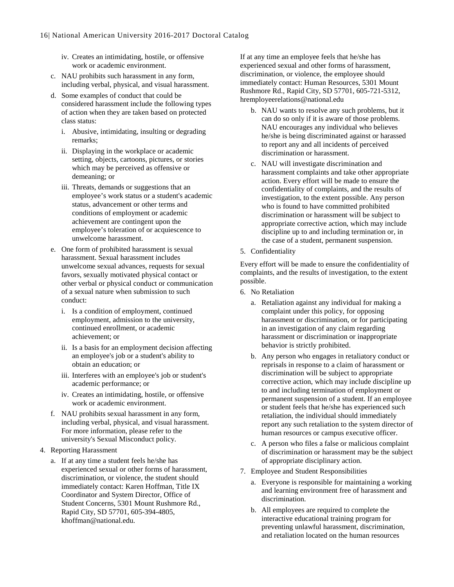- iv. Creates an intimidating, hostile, or offensive work or academic environment.
- c. NAU prohibits such harassment in any form, including verbal, physical, and visual harassment.
- d. Some examples of conduct that could be considered harassment include the following types of action when they are taken based on protected class status:
	- i. Abusive, intimidating, insulting or degrading remarks;
	- ii. Displaying in the workplace or academic setting, objects, cartoons, pictures, or stories which may be perceived as offensive or demeaning; or
	- iii. Threats, demands or suggestions that an employee's work status or a student's academic status, advancement or other terms and conditions of employment or academic achievement are contingent upon the employee's toleration of or acquiescence to unwelcome harassment.
- e. One form of prohibited harassment is sexual harassment. Sexual harassment includes unwelcome sexual advances, requests for sexual favors, sexually motivated physical contact or other verbal or physical conduct or communication of a sexual nature when submission to such conduct:
	- i. Is a condition of employment, continued employment, admission to the university, continued enrollment, or academic achievement; or
	- ii. Is a basis for an employment decision affecting an employee's job or a student's ability to obtain an education; or
	- iii. Interferes with an employee's job or student's academic performance; or
	- iv. Creates an intimidating, hostile, or offensive work or academic environment.
- f. NAU prohibits sexual harassment in any form, including verbal, physical, and visual harassment. For more information, please refer to the university's Sexual Misconduct policy.
- 4. Reporting Harassment
	- a. If at any time a student feels he/she has experienced sexual or other forms of harassment, discrimination, or violence, the student should immediately contact: Karen Hoffman, Title IX Coordinator and System Director, Office of Student Concerns, 5301 Mount Rushmore Rd., Rapid City, SD 57701, 605-394-4805, khoffman@national.edu.

If at any time an employee feels that he/she has experienced sexual and other forms of harassment, discrimination, or violence, the employee should immediately contact: Human Resources, 5301 Mount Rushmore Rd., Rapid City, SD 57701, 605-721-5312, hremployeerelations@national.edu

- b. NAU wants to resolve any such problems, but it can do so only if it is aware of those problems. NAU encourages any individual who believes he/she is being discriminated against or harassed to report any and all incidents of perceived discrimination or harassment.
- c. NAU will investigate discrimination and harassment complaints and take other appropriate action. Every effort will be made to ensure the confidentiality of complaints, and the results of investigation, to the extent possible. Any person who is found to have committed prohibited discrimination or harassment will be subject to appropriate corrective action, which may include discipline up to and including termination or, in the case of a student, permanent suspension.
- 5. Confidentiality

Every effort will be made to ensure the confidentiality of complaints, and the results of investigation, to the extent possible.

- 6. No Retaliation
	- a. Retaliation against any individual for making a complaint under this policy, for opposing harassment or discrimination, or for participating in an investigation of any claim regarding harassment or discrimination or inappropriate behavior is strictly prohibited.
	- b. Any person who engages in retaliatory conduct or reprisals in response to a claim of harassment or discrimination will be subject to appropriate corrective action, which may include discipline up to and including termination of employment or permanent suspension of a student. If an employee or student feels that he/she has experienced such retaliation, the individual should immediately report any such retaliation to the system director of human resources or campus executive officer.
	- c. A person who files a false or malicious complaint of discrimination or harassment may be the subject of appropriate disciplinary action.
- 7. Employee and Student Responsibilities
	- a. Everyone is responsible for maintaining a working and learning environment free of harassment and discrimination.
	- b. All employees are required to complete the interactive educational training program for preventing unlawful harassment, discrimination, and retaliation located on the human resources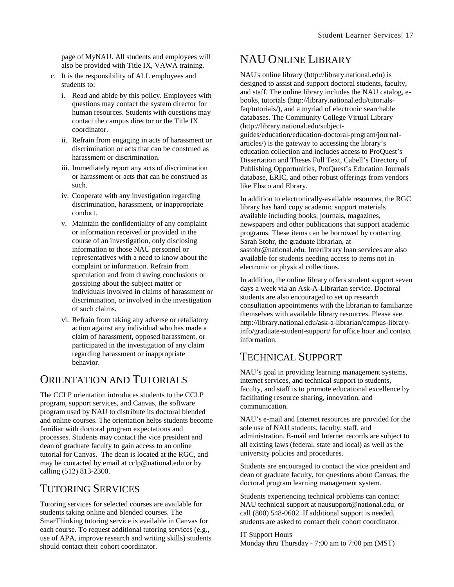page of MyNAU. All students and employees will also be provided with Title IX, VAWA training.

- c. It is the responsibility of ALL employees and students to:
	- i. Read and abide by this policy. Employees with questions may contact the system director for human resources. Students with questions may contact the campus director or the Title IX coordinator.
	- ii. Refrain from engaging in acts of harassment or discrimination or acts that can be construed as harassment or discrimination.
	- iii. Immediately report any acts of discrimination or harassment or acts that can be construed as such.
	- iv. Cooperate with any investigation regarding discrimination, harassment, or inappropriate conduct.
	- v. Maintain the confidentiality of any complaint or information received or provided in the course of an investigation, only disclosing information to those NAU personnel or representatives with a need to know about the complaint or information. Refrain from speculation and from drawing conclusions or gossiping about the subject matter or individuals involved in claims of harassment or discrimination, or involved in the investigation of such claims.
	- vi. Refrain from taking any adverse or retaliatory action against any individual who has made a claim of harassment, opposed harassment, or participated in the investigation of any claim regarding harassment or inappropriate behavior.

### ORIENTATION AND TUTORIALS

The CCLP orientation introduces students to the CCLP program, support services, and Canvas, the software program used by NAU to distribute its doctoral blended and online courses. The orientation helps students become familiar with doctoral program expectations and processes. Students may contact the vice president and dean of graduate faculty to gain access to an online tutorial for Canvas. The dean is located at the RGC, and may be contacted by email at cclp@national.edu or by calling (512) 813-2300.

### TUTORING SERVICES

Tutoring services for selected courses are available for students taking online and blended courses. The SmarThinking tutoring service is available in Canvas for each course. To request additional tutoring services (e.g., use of APA, improve research and writing skills) students should contact their cohort coordinator.

### NAU ONLINE LIBRARY

like Ebsco and Ebrary.

NAU's online library (http://library.national.edu) is designed to assist and support doctoral students, faculty, and staff. The online library includes the NAU catalog, ebooks, tutorials (http://library.national.edu/tutorialsfaq/tutorials/), and a myriad of electronic searchable databases. The Community College Virtual Library (http://library.national.edu/subjectguides/education/education-doctoral-program/journalarticles/) is the gateway to accessing the library's education collection and includes access to ProQuest's Dissertation and Theses Full Text, Cabell's Directory of Publishing Opportunities, ProQuest's Education Journals database, ERIC, and other robust offerings from vendors

In addition to electronically-available resources, the RGC library has hard copy academic support materials available including books, journals, magazines, newspapers and other publications that support academic programs. These items can be borrowed by contacting Sarah Stohr, the graduate librarian, at sastohr@national.edu. Interlibrary loan services are also available for students needing access to items not in electronic or physical collections.

In addition, the online library offers student support seven days a week via an Ask-A-Librarian service. Doctoral students are also encouraged to set up research consultation appointments with the librarian to familiarize themselves with available library resources. Please see http://library.national.edu/ask-a-librarian/campus-libraryinfo/graduate-student-support/ for office hour and contact information.

### TECHNICAL SUPPORT

NAU's goal in providing learning management systems, internet services, and technical support to students, faculty, and staff is to promote educational excellence by facilitating resource sharing, innovation, and communication.

NAU's e-mail and Internet resources are provided for the sole use of NAU students, faculty, staff, and administration. E-mail and Internet records are subject to all existing laws (federal, state and local) as well as the university policies and procedures.

Students are encouraged to contact the vice president and dean of graduate faculty, for questions about Canvas, the doctoral program learning management system.

Students experiencing technical problems can contact NAU technical support at nausupport@national.edu, or call (800) 548-0602. If additional support is needed, students are asked to contact their cohort coordinator.

IT Support Hours Monday thru Thursday - 7:00 am to 7:00 pm (MST)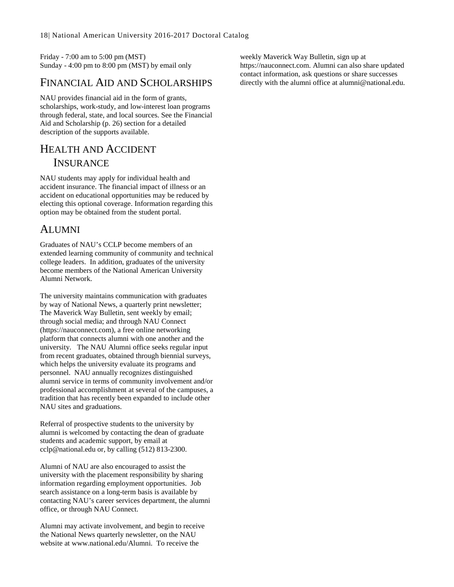Friday - 7:00 am to 5:00 pm (MST) Sunday - 4:00 pm to 8:00 pm (MST) by email only

### FINANCIAL AID AND SCHOLARSHIPS

NAU provides financial aid in the form of grants, scholarships, work-study, and low-interest loan programs through federal, state, and local sources. See the Financial Aid and Scholarship (p[. 26\)](#page-26-0) section for a detailed description of the supports available.

### HEALTH AND ACCIDENT **INSURANCE**

NAU students may apply for individual health and accident insurance. The financial impact of illness or an accident on educational opportunities may be reduced by electing this optional coverage. Information regarding this option may be obtained from the student portal.

### ALUMNI

Graduates of NAU's CCLP become members of an extended learning community of community and technical college leaders. In addition, graduates of the university become members of the National American University Alumni Network.

The university maintains communication with graduates by way of National News, a quarterly print newsletter; The Maverick Way Bulletin, sent weekly by email; through social media; and through NAU Connect (https://nauconnect.com), a free online networking platform that connects alumni with one another and the university. The NAU Alumni office seeks regular input from recent graduates, obtained through biennial surveys, which helps the university evaluate its programs and personnel. NAU annually recognizes distinguished alumni service in terms of community involvement and/or professional accomplishment at several of the campuses, a tradition that has recently been expanded to include other NAU sites and graduations.

Referral of prospective students to the university by alumni is welcomed by contacting the dean of graduate students and academic support, by email at cclp@national.edu or, by calling (512) 813-2300.

Alumni of NAU are also encouraged to assist the university with the placement responsibility by sharing information regarding employment opportunities. Job search assistance on a long-term basis is available by contacting NAU's career services department, the alumni office, or through NAU Connect.

Alumni may activate involvement, and begin to receive the National News quarterly newsletter, on the NAU website at www.national.edu/Alumni. To receive the

weekly Maverick Way Bulletin, sign up at https://nauconnect.com. Alumni can also share updated contact information, ask questions or share successes directly with the alumni office at alumni@national.edu.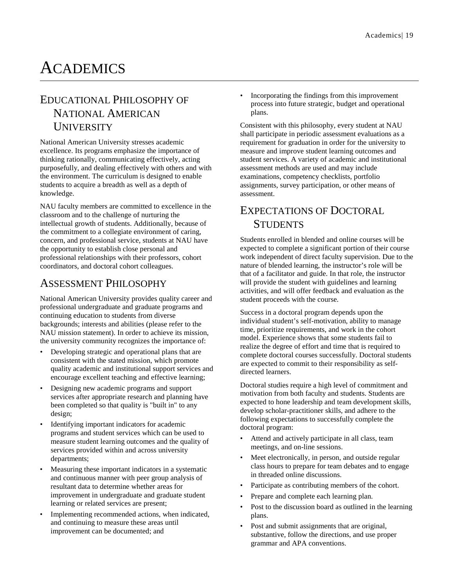# **ACADEMICS**

# EDUCATIONAL PHILOSOPHY OF

### NATIONAL AMERICAN **UNIVERSITY**

National American University stresses academic excellence. Its programs emphasize the importance of thinking rationally, communicating effectively, acting purposefully, and dealing effectively with others and with the environment. The curriculum is designed to enable students to acquire a breadth as well as a depth of knowledge.

NAU faculty members are committed to excellence in the classroom and to the challenge of nurturing the intellectual growth of students. Additionally, because of the commitment to a collegiate environment of caring, concern, and professional service, students at NAU have the opportunity to establish close personal and professional relationships with their professors, cohort coordinators, and doctoral cohort colleagues.

### ASSESSMENT PHILOSOPHY

National American University provides quality career and professional undergraduate and graduate programs and continuing education to students from diverse backgrounds; interests and abilities (please refer to the NAU mission statement). In order to achieve its mission, the university community recognizes the importance of:

- Developing strategic and operational plans that are consistent with the stated mission, which promote quality academic and institutional support services and encourage excellent teaching and effective learning;
- Designing new academic programs and support services after appropriate research and planning have been completed so that quality is "built in" to any design;
- Identifying important indicators for academic programs and student services which can be used to measure student learning outcomes and the quality of services provided within and across university departments;
- Measuring these important indicators in a systematic and continuous manner with peer group analysis of resultant data to determine whether areas for improvement in undergraduate and graduate student learning or related services are present;
- Implementing recommended actions, when indicated, and continuing to measure these areas until improvement can be documented; and

• Incorporating the findings from this improvement process into future strategic, budget and operational plans.

Consistent with this philosophy, every student at NAU shall participate in periodic assessment evaluations as a requirement for graduation in order for the university to measure and improve student learning outcomes and student services. A variety of academic and institutional assessment methods are used and may include examinations, competency checklists, portfolio assignments, survey participation, or other means of assessment.

### EXPECTATIONS OF DOCTORAL **STUDENTS**

Students enrolled in blended and online courses will be expected to complete a significant portion of their course work independent of direct faculty supervision. Due to the nature of blended learning, the instructor's role will be that of a facilitator and guide. In that role, the instructor will provide the student with guidelines and learning activities, and will offer feedback and evaluation as the student proceeds with the course.

Success in a doctoral program depends upon the individual student's self-motivation, ability to manage time, prioritize requirements, and work in the cohort model. Experience shows that some students fail to realize the degree of effort and time that is required to complete doctoral courses successfully. Doctoral students are expected to commit to their responsibility as selfdirected learners.

Doctoral studies require a high level of commitment and motivation from both faculty and students. Students are expected to hone leadership and team development skills, develop scholar-practitioner skills, and adhere to the following expectations to successfully complete the doctoral program:

- Attend and actively participate in all class, team meetings, and on-line sessions.
- Meet electronically, in person, and outside regular class hours to prepare for team debates and to engage in threaded online discussions.
- Participate as contributing members of the cohort.
- Prepare and complete each learning plan.
- Post to the discussion board as outlined in the learning plans.
- Post and submit assignments that are original, substantive, follow the directions, and use proper grammar and APA conventions.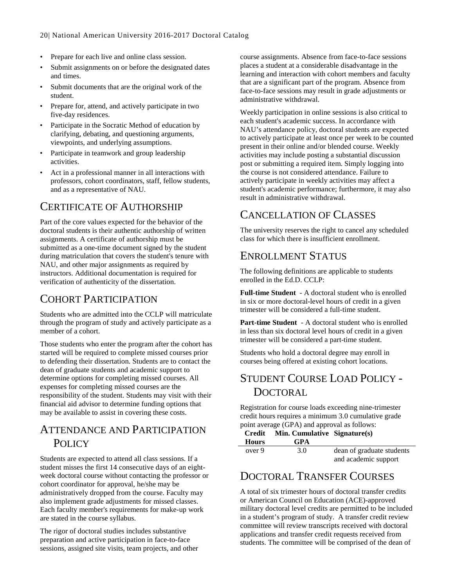- Prepare for each live and online class session.
- Submit assignments on or before the designated dates and times.
- Submit documents that are the original work of the student.
- Prepare for, attend, and actively participate in two five-day residences.
- Participate in the Socratic Method of education by clarifying, debating, and questioning arguments, viewpoints, and underlying assumptions.
- Participate in teamwork and group leadership activities.
- Act in a professional manner in all interactions with professors, cohort coordinators, staff, fellow students, and as a representative of NAU.

### CERTIFICATE OF AUTHORSHIP

Part of the core values expected for the behavior of the doctoral students is their authentic authorship of written assignments. A certificate of authorship must be submitted as a one-time document signed by the student during matriculation that covers the student's tenure with NAU, and other major assignments as required by instructors. Additional documentation is required for verification of authenticity of the dissertation.

### <span id="page-20-0"></span>COHORT PARTICIPATION

Students who are admitted into the CCLP will matriculate through the program of study and actively participate as a member of a cohort.

Those students who enter the program after the cohort has started will be required to complete missed courses prior to defending their dissertation. Students are to contact the dean of graduate students and academic support to determine options for completing missed courses. All expenses for completing missed courses are the responsibility of the student. Students may visit with their financial aid advisor to determine funding options that may be available to assist in covering these costs.

### ATTENDANCE AND PARTICIPATION POLICY

Students are expected to attend all class sessions. If a student misses the first 14 consecutive days of an eightweek doctoral course without contacting the professor or cohort coordinator for approval, he/she may be administratively dropped from the course. Faculty may also implement grade adjustments for missed classes. Each faculty member's requirements for make-up work are stated in the course syllabus.

The rigor of doctoral studies includes substantive preparation and active participation in face-to-face sessions, assigned site visits, team projects, and other course assignments. Absence from face-to-face sessions places a student at a considerable disadvantage in the learning and interaction with cohort members and faculty that are a significant part of the program. Absence from face-to-face sessions may result in grade adjustments or administrative withdrawal.

Weekly participation in online sessions is also critical to each student's academic success. In accordance with NAU's attendance policy, doctoral students are expected to actively participate at least once per week to be counted present in their online and/or blended course. Weekly activities may include posting a substantial discussion post or submitting a required item. Simply logging into the course is not considered attendance. Failure to actively participate in weekly activities may affect a student's academic performance; furthermore, it may also result in administrative withdrawal.

### CANCELLATION OF CLASSES

The university reserves the right to cancel any scheduled class for which there is insufficient enrollment.

### ENROLLMENT STATUS

The following definitions are applicable to students enrolled in the Ed.D. CCLP:

**Full-time Student** - A doctoral student who is enrolled in six or more doctoral-level hours of credit in a given trimester will be considered a full-time student.

**Part-time Student** - A doctoral student who is enrolled in less than six doctoral level hours of credit in a given trimester will be considered a part-time student.

Students who hold a doctoral degree may enroll in courses being offered at existing cohort locations.

### STUDENT COURSE LOAD POLICY - **DOCTORAL**

Registration for course loads exceeding nine-trimester credit hours requires a minimum 3.0 cumulative grade point average (GPA) and approval as follows:

| Credit       | Min. Cumulative Signature(s) |                           |
|--------------|------------------------------|---------------------------|
| <b>Hours</b> | <b>GPA</b>                   |                           |
| over 9       | 3.0                          | dean of graduate students |

### DOCTORAL TRANSFER COURSES

A total of six trimester hours of doctoral transfer credits or American Council on Education (ACE)-approved military doctoral level credits are permitted to be included in a student's program of study. A transfer credit review committee will review transcripts received with doctoral applications and transfer credit requests received from students. The committee will be comprised of the dean of

and academic support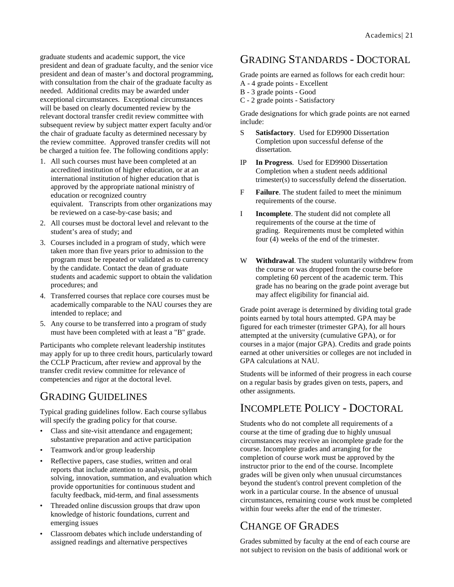graduate students and academic support, the vice president and dean of graduate faculty, and the senior vice president and dean of master's and doctoral programming, with consultation from the chair of the graduate faculty as needed. Additional credits may be awarded under exceptional circumstances. Exceptional circumstances will be based on clearly documented review by the relevant doctoral transfer credit review committee with subsequent review by subject matter expert faculty and/or the chair of graduate faculty as determined necessary by the review committee. Approved transfer credits will not be charged a tuition fee. The following conditions apply:

- 1. All such courses must have been completed at an accredited institution of higher education, or at an international institution of higher education that is approved by the appropriate national ministry of education or recognized country equivalent. Transcripts from other organizations may be reviewed on a case-by-case basis; and
- 2. All courses must be doctoral level and relevant to the student's area of study; and
- 3. Courses included in a program of study, which were taken more than five years prior to admission to the program must be repeated or validated as to currency by the candidate. Contact the dean of graduate students and academic support to obtain the validation procedures; and
- 4. Transferred courses that replace core courses must be academically comparable to the NAU courses they are intended to replace; and
- 5. Any course to be transferred into a program of study must have been completed with at least a "B" grade.

Participants who complete relevant leadership institutes may apply for up to three credit hours, particularly toward the CCLP Practicum, after review and approval by the transfer credit review committee for relevance of competencies and rigor at the doctoral level.

### GRADING GUIDELINES

Typical grading guidelines follow. Each course syllabus will specify the grading policy for that course.

- Class and site-visit attendance and engagement; substantive preparation and active participation
- Teamwork and/or group leadership
- Reflective papers, case studies, written and oral reports that include attention to analysis, problem solving, innovation, summation, and evaluation which provide opportunities for continuous student and faculty feedback, mid-term, and final assessments
- Threaded online discussion groups that draw upon knowledge of historic foundations, current and emerging issues
- Classroom debates which include understanding of assigned readings and alternative perspectives

### <span id="page-21-0"></span>GRADING STANDARDS - DOCTORAL

Grade points are earned as follows for each credit hour:

- A 4 grade points Excellent
- B 3 grade points Good
- C 2 grade points Satisfactory

Grade designations for which grade points are not earned include:

- S **Satisfactory**. Used for ED9900 Dissertation Completion upon successful defense of the dissertation.
- IP **In Progress**. Used for ED9900 Dissertation Completion when a student needs additional trimester(s) to successfully defend the dissertation.
- F **Failure**. The student failed to meet the minimum requirements of the course.
- I **Incomplete**. The student did not complete all requirements of the course at the time of grading. Requirements must be completed within four (4) weeks of the end of the trimester.
- W **Withdrawal**. The student voluntarily withdrew from the course or was dropped from the course before completing 60 percent of the academic term. This grade has no bearing on the grade point average but may affect eligibility for financial aid.

Grade point average is determined by dividing total grade points earned by total hours attempted. GPA may be figured for each trimester (trimester GPA), for all hours attempted at the university (cumulative GPA), or for courses in a major (major GPA). Credits and grade points earned at other universities or colleges are not included in GPA calculations at NAU.

Students will be informed of their progress in each course on a regular basis by grades given on tests, papers, and other assignments.

### INCOMPLETE POLICY - DOCTORAL

Students who do not complete all requirements of a course at the time of grading due to highly unusual circumstances may receive an incomplete grade for the course. Incomplete grades and arranging for the completion of course work must be approved by the instructor prior to the end of the course. Incomplete grades will be given only when unusual circumstances beyond the student's control prevent completion of the work in a particular course. In the absence of unusual circumstances, remaining course work must be completed within four weeks after the end of the trimester.

### CHANGE OF GRADES

Grades submitted by faculty at the end of each course are not subject to revision on the basis of additional work or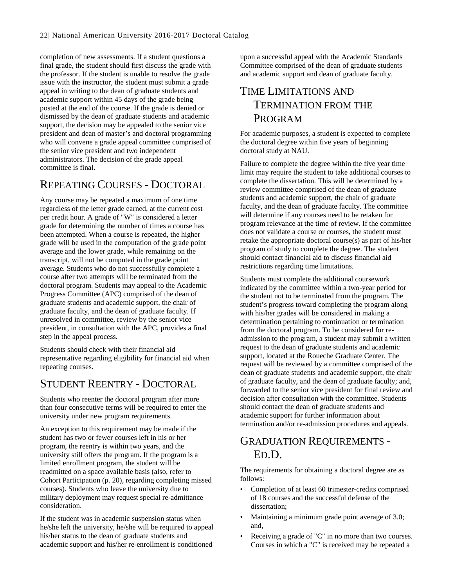completion of new assessments. If a student questions a final grade, the student should first discuss the grade with the professor. If the student is unable to resolve the grade issue with the instructor, the student must submit a grade appeal in writing to the dean of graduate students and academic support within 45 days of the grade being posted at the end of the course. If the grade is denied or dismissed by the dean of graduate students and academic support, the decision may be appealed to the senior vice president and dean of master's and doctoral programming who will convene a grade appeal committee comprised of the senior vice president and two independent administrators. The decision of the grade appeal committee is final.

### REPEATING COURSES - DOCTORAL

Any course may be repeated a maximum of one time regardless of the letter grade earned, at the current cost per credit hour. A grade of "W" is considered a letter grade for determining the number of times a course has been attempted. When a course is repeated, the higher grade will be used in the computation of the grade point average and the lower grade, while remaining on the transcript, will not be computed in the grade point average. Students who do not successfully complete a course after two attempts will be terminated from the doctoral program. Students may appeal to the Academic Progress Committee (APC) comprised of the dean of graduate students and academic support, the chair of graduate faculty, and the dean of graduate faculty. If unresolved in committee, review by the senior vice president, in consultation with the APC, provides a final step in the appeal process.

Students should check with their financial aid representative regarding eligibility for financial aid when repeating courses.

### STUDENT REENTRY - DOCTORAL

Students who reenter the doctoral program after more than four consecutive terms will be required to enter the university under new program requirements.

An exception to this requirement may be made if the student has two or fewer courses left in his or her program, the reentry is within two years, and the university still offers the program. If the program is a limited enrollment program, the student will be readmitted on a space available basis (also, refer to Cohort Participation (p. [20\)](#page-20-0), regarding completing missed courses). Students who leave the university due to military deployment may request special re-admittance consideration.

If the student was in academic suspension status when he/she left the university, he/she will be required to appeal his/her status to the dean of graduate students and academic support and his/her re-enrollment is conditioned

upon a successful appeal with the Academic Standards Committee comprised of the dean of graduate students and academic support and dean of graduate faculty.

### <span id="page-22-0"></span>TIME LIMITATIONS AND TERMINATION FROM THE PROGRAM

For academic purposes, a student is expected to complete the doctoral degree within five years of beginning doctoral study at NAU.

Failure to complete the degree within the five year time limit may require the student to take additional courses to complete the dissertation. This will be determined by a review committee comprised of the dean of graduate students and academic support, the chair of graduate faculty, and the dean of graduate faculty. The committee will determine if any courses need to be retaken for program relevance at the time of review. If the committee does not validate a course or courses, the student must retake the appropriate doctoral course(s) as part of his/her program of study to complete the degree. The student should contact financial aid to discuss financial aid restrictions regarding time limitations.

Students must complete the additional coursework indicated by the committee within a two-year period for the student not to be terminated from the program. The student's progress toward completing the program along with his/her grades will be considered in making a determination pertaining to continuation or termination from the doctoral program. To be considered for readmission to the program, a student may submit a written request to the dean of graduate students and academic support, located at the Roueche Graduate Center. The request will be reviewed by a committee comprised of the dean of graduate students and academic support, the chair of graduate faculty, and the dean of graduate faculty; and, forwarded to the senior vice president for final review and decision after consultation with the committee. Students should contact the dean of graduate students and academic support for further information about termination and/or re-admission procedures and appeals.

### GRADUATION REQUIREMENTS - ED.D.

The requirements for obtaining a doctoral degree are as follows:

- Completion of at least 60 trimester-credits comprised of 18 courses and the successful defense of the dissertation;
- Maintaining a minimum grade point average of 3.0; and,
- Receiving a grade of "C" in no more than two courses. Courses in which a "C" is received may be repeated a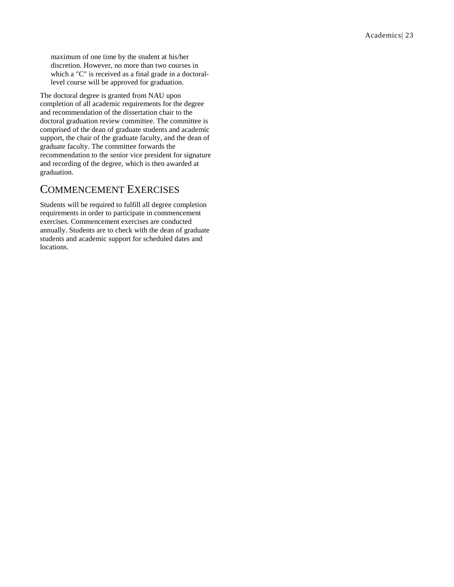maximum of one time by the student at his/her discretion. However, no more than two courses in which a "C" is received as a final grade in a doctorallevel course will be approved for graduation.

The doctoral degree is granted from NAU upon completion of all academic requirements for the degree and recommendation of the dissertation chair to the doctoral graduation review committee. The committee is comprised of the dean of graduate students and academic support, the chair of the graduate faculty, and the dean of graduate faculty. The committee forwards the recommendation to the senior vice president for signature and recording of the degree, which is then awarded at graduation.

### COMMENCEMENT EXERCISES

Students will be required to fulfill all degree completion requirements in order to participate in commencement exercises. Commencement exercises are conducted annually. Students are to check with the dean of graduate students and academic support for scheduled dates and locations.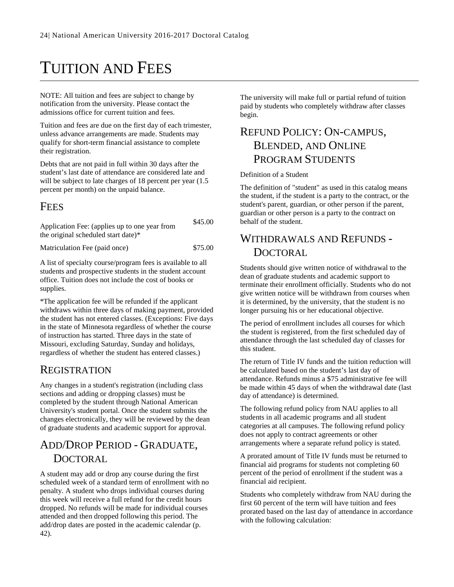# TUITION AND FEES

NOTE: All tuition and fees are subject to change by notification from the university. Please contact the admissions office for current tuition and fees.

Tuition and fees are due on the first day of each trimester, unless advance arrangements are made. Students may qualify for short-term financial assistance to complete their registration.

Debts that are not paid in full within 30 days after the student's last date of attendance are considered late and will be subject to late charges of 18 percent per year  $(1.5)$ percent per month) on the unpaid balance.

### FEES

Application Fee: (applies up to one year from the original scheduled start date)\* \$45.00

Matriculation Fee (paid once) \$75.00

A list of specialty course/program fees is available to all students and prospective students in the student account office. Tuition does not include the cost of books or supplies.

\*The application fee will be refunded if the applicant withdraws within three days of making payment, provided the student has not entered classes. (Exceptions: Five days in the state of Minnesota regardless of whether the course of instruction has started. Three days in the state of Missouri, excluding Saturday, Sunday and holidays, regardless of whether the student has entered classes.)

### REGISTRATION

Any changes in a student's registration (including class sections and adding or dropping classes) must be completed by the student through National American University's student portal. Once the student submits the changes electronically, they will be reviewed by the dean of graduate students and academic support for approval.

### ADD/DROP PERIOD - GRADUATE, **DOCTORAL**

A student may add or drop any course during the first scheduled week of a standard term of enrollment with no penalty. A student who drops individual courses during this week will receive a full refund for the credit hours dropped. No refunds will be made for individual courses attended and then dropped following this period. The add/drop dates are posted in the academic calendar (p. [42\)](#page-42-0).

The university will make full or partial refund of tuition paid by students who completely withdraw after classes begin.

### REFUND POLICY: ON-CAMPUS, BLENDED, AND ONLINE PROGRAM STUDENTS

Definition of a Student

The definition of "student" as used in this catalog means the student, if the student is a party to the contract, or the student's parent, guardian, or other person if the parent, guardian or other person is a party to the contract on behalf of the student.

### WITHDRAWALS AND REFUNDS - **DOCTORAL**

Students should give written notice of withdrawal to the dean of graduate students and academic support to terminate their enrollment officially. Students who do not give written notice will be withdrawn from courses when it is determined, by the university, that the student is no longer pursuing his or her educational objective.

The period of enrollment includes all courses for which the student is registered, from the first scheduled day of attendance through the last scheduled day of classes for this student.

The return of Title IV funds and the tuition reduction will be calculated based on the student's last day of attendance. Refunds minus a \$75 administrative fee will be made within 45 days of when the withdrawal date (last day of attendance) is determined.

The following refund policy from NAU applies to all students in all academic programs and all student categories at all campuses. The following refund policy does not apply to contract agreements or other arrangements where a separate refund policy is stated.

A prorated amount of Title IV funds must be returned to financial aid programs for students not completing 60 percent of the period of enrollment if the student was a financial aid recipient.

Students who completely withdraw from NAU during the first 60 percent of the term will have tuition and fees prorated based on the last day of attendance in accordance with the following calculation: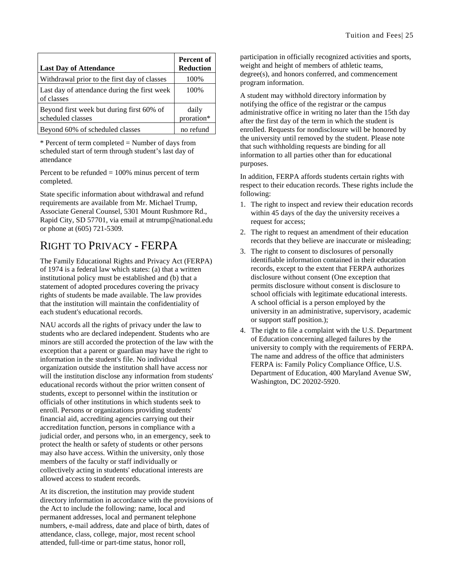| <b>Last Day of Attendance</b>                                  | Percent of<br><b>Reduction</b> |
|----------------------------------------------------------------|--------------------------------|
| Withdrawal prior to the first day of classes                   | 100%                           |
| Last day of attendance during the first week<br>of classes     | 100\%                          |
| Beyond first week but during first 60% of<br>scheduled classes | daily<br>proration*            |
| Beyond 60% of scheduled classes                                | no refund                      |

\* Percent of term completed = Number of days from scheduled start of term through student's last day of attendance

Percent to be refunded  $= 100\%$  minus percent of term completed.

State specific information about withdrawal and refund requirements are available from Mr. Michael Trump, Associate General Counsel, 5301 Mount Rushmore Rd., Rapid City, SD 57701, via email at mtrump@national.edu or phone at (605) 721-5309.

### RIGHT TO PRIVACY - FERPA

The Family Educational Rights and Privacy Act (FERPA) of 1974 is a federal law which states: (a) that a written institutional policy must be established and (b) that a statement of adopted procedures covering the privacy rights of students be made available. The law provides that the institution will maintain the confidentiality of each student's educational records.

NAU accords all the rights of privacy under the law to students who are declared independent. Students who are minors are still accorded the protection of the law with the exception that a parent or guardian may have the right to information in the student's file. No individual organization outside the institution shall have access nor will the institution disclose any information from students' educational records without the prior written consent of students, except to personnel within the institution or officials of other institutions in which students seek to enroll. Persons or organizations providing students' financial aid, accrediting agencies carrying out their accreditation function, persons in compliance with a judicial order, and persons who, in an emergency, seek to protect the health or safety of students or other persons may also have access. Within the university, only those members of the faculty or staff individually or collectively acting in students' educational interests are allowed access to student records.

At its discretion, the institution may provide student directory information in accordance with the provisions of the Act to include the following: name, local and permanent addresses, local and permanent telephone numbers, e-mail address, date and place of birth, dates of attendance, class, college, major, most recent school attended, full-time or part-time status, honor roll,

participation in officially recognized activities and sports, weight and height of members of athletic teams, degree(s), and honors conferred, and commencement program information.

A student may withhold directory information by notifying the office of the registrar or the campus administrative office in writing no later than the 15th day after the first day of the term in which the student is enrolled. Requests for nondisclosure will be honored by the university until removed by the student. Please note that such withholding requests are binding for all information to all parties other than for educational purposes.

In addition, FERPA affords students certain rights with respect to their education records. These rights include the following:

- 1. The right to inspect and review their education records within 45 days of the day the university receives a request for access;
- 2. The right to request an amendment of their education records that they believe are inaccurate or misleading;
- 3. The right to consent to disclosures of personally identifiable information contained in their education records, except to the extent that FERPA authorizes disclosure without consent (One exception that permits disclosure without consent is disclosure to school officials with legitimate educational interests. A school official is a person employed by the university in an administrative, supervisory, academic or support staff position.);
- 4. The right to file a complaint with the U.S. Department of Education concerning alleged failures by the university to comply with the requirements of FERPA. The name and address of the office that administers FERPA is: Family Policy Compliance Office, U.S. Department of Education, 400 Maryland Avenue SW, Washington, DC 20202-5920.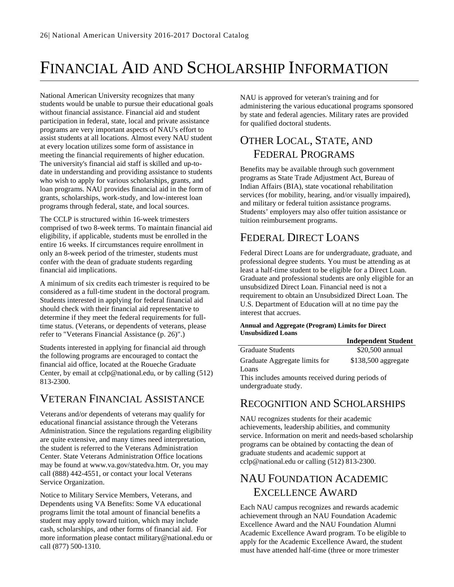# <span id="page-26-0"></span>FINANCIAL AID AND SCHOLARSHIP INFORMATION

National American University recognizes that many students would be unable to pursue their educational goals without financial assistance. Financial aid and student participation in federal, state, local and private assistance programs are very important aspects of NAU's effort to assist students at all locations. Almost every NAU student at every location utilizes some form of assistance in meeting the financial requirements of higher education. The university's financial aid staff is skilled and up-todate in understanding and providing assistance to students who wish to apply for various scholarships, grants, and loan programs. NAU provides financial aid in the form of grants, scholarships, work-study, and low-interest loan programs through federal, state, and local sources.

The CCLP is structured within 16-week trimesters comprised of two 8-week terms. To maintain financial aid eligibility, if applicable, students must be enrolled in the entire 16 weeks. If circumstances require enrollment in only an 8-week period of the trimester, students must confer with the dean of graduate students regarding financial aid implications.

A minimum of six credits each trimester is required to be considered as a full-time student in the doctoral program. Students interested in applying for federal financial aid should check with their financial aid representative to determine if they meet the federal requirements for fulltime status. (Veterans, or dependents of veterans, please refer to "Veterans Financial Assistance (p. [26\)](#page-26-1)".)

Students interested in applying for financial aid through the following programs are encouraged to contact the financial aid office, located at the Roueche Graduate Center, by email at cclp@national.edu, or by calling (512) 813-2300.

### <span id="page-26-1"></span>VETERAN FINANCIAL ASSISTANCE

Veterans and/or dependents of veterans may qualify for educational financial assistance through the Veterans Administration. Since the regulations regarding eligibility are quite extensive, and many times need interpretation, the student is referred to the Veterans Administration Center. State Veterans Administration Office locations may be found at www.va.gov/statedva.htm. Or, you may call (888) 442-4551, or contact your local Veterans Service Organization.

Notice to Military Service Members, Veterans, and Dependents using VA Benefits: Some VA educational programs limit the total amount of financial benefits a student may apply toward tuition, which may include cash, scholarships, and other forms of financial aid. For more information please contact military@national.edu or call (877) 500-1310.

NAU is approved for veteran's training and for administering the various educational programs sponsored by state and federal agencies. Military rates are provided for qualified doctoral students.

### OTHER LOCAL, STATE, AND FEDERAL PROGRAMS

Benefits may be available through such government programs as State Trade Adjustment Act, Bureau of Indian Affairs (BIA), state vocational rehabilitation services (for mobility, hearing, and/or visually impaired), and military or federal tuition assistance programs. Students' employers may also offer tuition assistance or tuition reimbursement programs.

### FEDERAL DIRECT LOANS

Federal Direct Loans are for undergraduate, graduate, and professional degree students. You must be attending as at least a half-time student to be eligible for a Direct Loan. Graduate and professional students are only eligible for an unsubsidized Direct Loan. Financial need is not a requirement to obtain an Unsubsidized Direct Loan. The U.S. Department of Education will at no time pay the interest that accrues.

#### **Annual and Aggregate (Program) Limits for Direct Unsubsidized Loans**

|                                                  | <b>Independent Student</b> |
|--------------------------------------------------|----------------------------|
| <b>Graduate Students</b>                         | \$20,500 annual            |
| Graduate Aggregate limits for                    | \$138,500 aggregate        |
| Loans                                            |                            |
| This includes amounts received during periods of |                            |
| undergraduate study.                             |                            |

### RECOGNITION AND SCHOLARSHIPS

NAU recognizes students for their academic achievements, leadership abilities, and community service. Information on merit and needs-based scholarship programs can be obtained by contacting the dean of graduate students and academic support at cclp@national.edu or calling (512) 813-2300.

### NAU FOUNDATION ACADEMIC EXCELLENCE AWARD

Each NAU campus recognizes and rewards academic achievement through an NAU Foundation Academic Excellence Award and the NAU Foundation Alumni Academic Excellence Award program. To be eligible to apply for the Academic Excellence Award, the student must have attended half-time (three or more trimester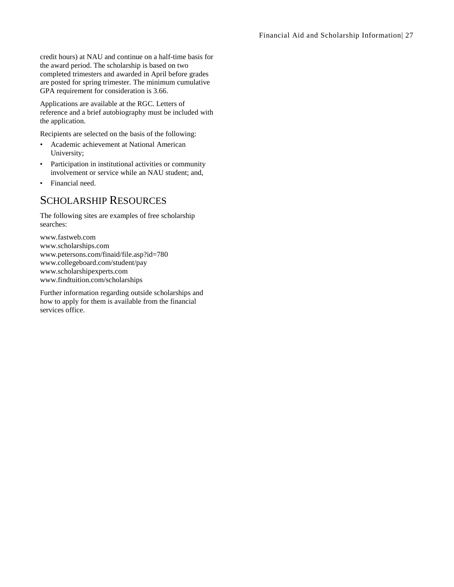credit hours) at NAU and continue on a half-time basis for the award period. The scholarship is based on two completed trimesters and awarded in April before grades are posted for spring trimester. The minimum cumulative GPA requirement for consideration is 3.66.

Applications are available at the RGC. Letters of reference and a brief autobiography must be included with the application.

Recipients are selected on the basis of the following:

- Academic achievement at National American University;
- Participation in institutional activities or community involvement or service while an NAU student; and,
- Financial need.

### SCHOLARSHIP RESOURCES

The following sites are examples of free scholarship searches:

www.fastweb.com www.scholarships.com www.petersons.com/finaid/file.asp?id=780 www.collegeboard.com/student/pay www.scholarshipexperts.com www.findtuition.com/scholarships

Further information regarding outside scholarships and how to apply for them is available from the financial services office.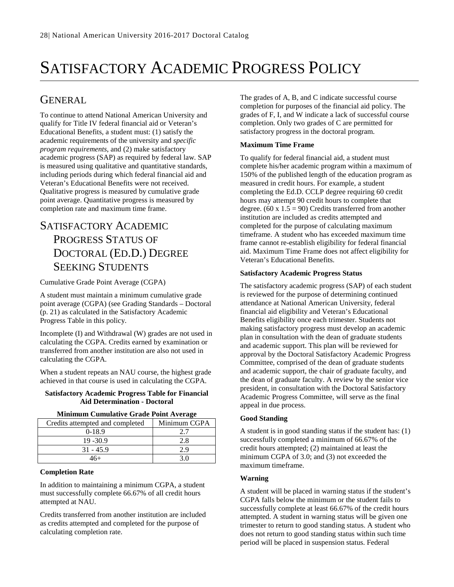# SATISFACTORY ACADEMIC PROGRESS POLICY

### GENERAL

To continue to attend National American University and qualify for Title IV federal financial aid or Veteran's Educational Benefits, a student must: (1) satisfy the academic requirements of the university and *specific program requirements*, and (2) make satisfactory academic progress (SAP) as required by federal law. SAP is measured using qualitative and quantitative standards, including periods during which federal financial aid and Veteran's Educational Benefits were not received. Qualitative progress is measured by cumulative grade point average. Quantitative progress is measured by completion rate and maximum time frame.

### SATISFACTORY ACADEMIC PROGRESS STATUS OF DOCTORAL (ED.D.) DEGREE SEEKING STUDENTS

Cumulative Grade Point Average (CGPA)

A student must maintain a minimum cumulative grade point average (CGPA) (see Grading Standards – Doctoral (p. [21\)](#page-21-0) as calculated in the Satisfactory Academic Progress Table in this policy.

Incomplete (I) and Withdrawal (W) grades are not used in calculating the CGPA. Credits earned by examination or transferred from another institution are also not used in calculating the CGPA.

When a student repeats an NAU course, the highest grade achieved in that course is used in calculating the CGPA.

### **Satisfactory Academic Progress Table for Financial Aid Determination - Doctoral**

| мишшин сишишнус отаас тошттуктадс |              |
|-----------------------------------|--------------|
| Credits attempted and completed   | Minimum CGPA |
| $0-18.9$                          |              |
| $19 - 30.9$                       | 2.8          |
| $31 - 45.9$                       | 2.9          |
| 16+                               |              |

### **Minimum Cumulative Grade Point Average**

### **Completion Rate**

In addition to maintaining a minimum CGPA, a student must successfully complete 66.67% of all credit hours attempted at NAU.

Credits transferred from another institution are included as credits attempted and completed for the purpose of calculating completion rate.

The grades of A, B, and C indicate successful course completion for purposes of the financial aid policy. The grades of F, I, and W indicate a lack of successful course completion. Only two grades of C are permitted for satisfactory progress in the doctoral program.

### **Maximum Time Frame**

To qualify for federal financial aid, a student must complete his/her academic program within a maximum of 150% of the published length of the education program as measured in credit hours. For example, a student completing the Ed.D. CCLP degree requiring 60 credit hours may attempt 90 credit hours to complete that degree.  $(60 \times 1.5 = 90)$  Credits transferred from another institution are included as credits attempted and completed for the purpose of calculating maximum timeframe. A student who has exceeded maximum time frame cannot re-establish eligibility for federal financial aid. Maximum Time Frame does not affect eligibility for Veteran's Educational Benefits.

### **Satisfactory Academic Progress Status**

The satisfactory academic progress (SAP) of each student is reviewed for the purpose of determining continued attendance at National American University, federal financial aid eligibility and Veteran's Educational Benefits eligibility once each trimester. Students not making satisfactory progress must develop an academic plan in consultation with the dean of graduate students and academic support. This plan will be reviewed for approval by the Doctoral Satisfactory Academic Progress Committee, comprised of the dean of graduate students and academic support, the chair of graduate faculty, and the dean of graduate faculty. A review by the senior vice president, in consultation with the Doctoral Satisfactory Academic Progress Committee, will serve as the final appeal in due process.

### **Good Standing**

A student is in good standing status if the student has: (1) successfully completed a minimum of 66.67% of the credit hours attempted; (2) maintained at least the minimum CGPA of 3.0; and (3) not exceeded the maximum timeframe.

#### **Warning**

A student will be placed in warning status if the student's CGPA falls below the minimum or the student fails to successfully complete at least 66.67% of the credit hours attempted. A student in warning status will be given one trimester to return to good standing status. A student who does not return to good standing status within such time period will be placed in suspension status. Federal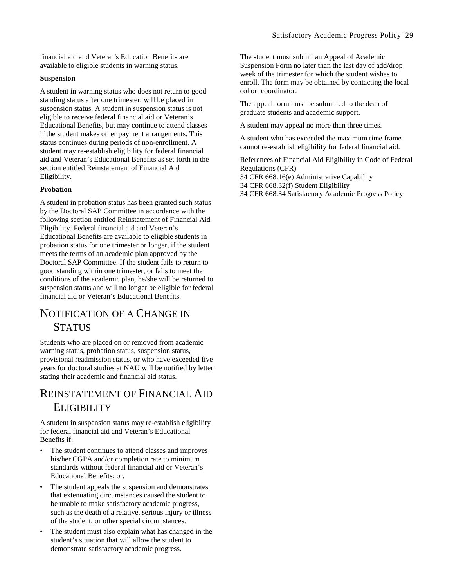financial aid and Veteran's Education Benefits are available to eligible students in warning status.

#### **Suspension**

A student in warning status who does not return to good standing status after one trimester, will be placed in suspension status. A student in suspension status is not eligible to receive federal financial aid or Veteran's Educational Benefits, but may continue to attend classes if the student makes other payment arrangements. This status continues during periods of non-enrollment. A student may re-establish eligibility for federal financial aid and Veteran's Educational Benefits as set forth in the section entitled Reinstatement of Financial Aid Eligibility.

### **Probation**

A student in probation status has been granted such status by the Doctoral SAP Committee in accordance with the following section entitled Reinstatement of Financial Aid Eligibility. Federal financial aid and Veteran's Educational Benefits are available to eligible students in probation status for one trimester or longer, if the student meets the terms of an academic plan approved by the Doctoral SAP Committee. If the student fails to return to good standing within one trimester, or fails to meet the conditions of the academic plan, he/she will be returned to suspension status and will no longer be eligible for federal financial aid or Veteran's Educational Benefits.

### NOTIFICATION OF A CHANGE IN **STATUS**

Students who are placed on or removed from academic warning status, probation status, suspension status, provisional readmission status, or who have exceeded five years for doctoral studies at NAU will be notified by letter stating their academic and financial aid status.

### REINSTATEMENT OF FINANCIAL AID **ELIGIBILITY**

A student in suspension status may re-establish eligibility for federal financial aid and Veteran's Educational Benefits if:

- The student continues to attend classes and improves his/her CGPA and/or completion rate to minimum standards without federal financial aid or Veteran's Educational Benefits; or,
- The student appeals the suspension and demonstrates that extenuating circumstances caused the student to be unable to make satisfactory academic progress, such as the death of a relative, serious injury or illness of the student, or other special circumstances.
- The student must also explain what has changed in the student's situation that will allow the student to demonstrate satisfactory academic progress.

The student must submit an Appeal of Academic Suspension Form no later than the last day of add/drop week of the trimester for which the student wishes to enroll. The form may be obtained by contacting the local cohort coordinator.

The appeal form must be submitted to the dean of graduate students and academic support.

A student may appeal no more than three times.

A student who has exceeded the maximum time frame cannot re-establish eligibility for federal financial aid.

References of Financial Aid Eligibility in Code of Federal Regulations (CFR)

34 CFR 668.16(e) Administrative Capability 34 CFR 668.32(f) Student Eligibility 34 CFR 668.34 Satisfactory Academic Progress Policy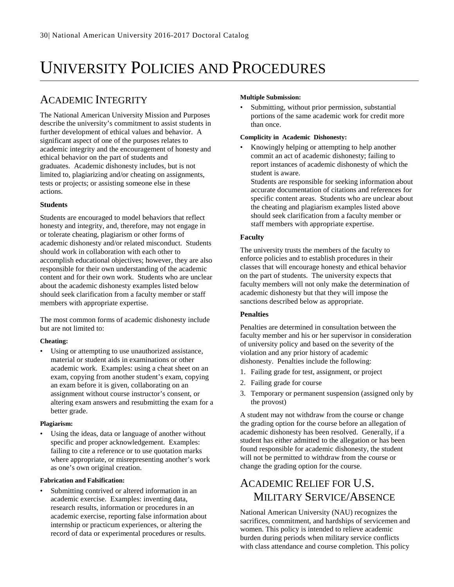# UNIVERSITY POLICIES AND PROCEDURES

### ACADEMIC INTEGRITY

The National American University Mission and Purposes describe the university's commitment to assist students in further development of ethical values and behavior. A significant aspect of one of the purposes relates to academic integrity and the encouragement of honesty and ethical behavior on the part of students and graduates. Academic dishonesty includes, but is not limited to, plagiarizing and/or cheating on assignments, tests or projects; or assisting someone else in these actions.

### **Students**

Students are encouraged to model behaviors that reflect honesty and integrity, and, therefore, may not engage in or tolerate cheating, plagiarism or other forms of academic dishonesty and/or related misconduct. Students should work in collaboration with each other to accomplish educational objectives; however, they are also responsible for their own understanding of the academic content and for their own work. Students who are unclear about the academic dishonesty examples listed below should seek clarification from a faculty member or staff members with appropriate expertise.

The most common forms of academic dishonesty include but are not limited to:

### **Cheating:**

Using or attempting to use unauthorized assistance, material or student aids in examinations or other academic work. Examples: using a cheat sheet on an exam, copying from another student's exam, copying an exam before it is given, collaborating on an assignment without course instructor's consent, or altering exam answers and resubmitting the exam for a better grade.

### **Plagiarism:**

Using the ideas, data or language of another without specific and proper acknowledgement. Examples: failing to cite a reference or to use quotation marks where appropriate, or misrepresenting another's work as one's own original creation.

### **Fabrication and Falsification:**

Submitting contrived or altered information in an academic exercise. Examples: inventing data, research results, information or procedures in an academic exercise, reporting false information about internship or practicum experiences, or altering the record of data or experimental procedures or results.

### **Multiple Submission:**

Submitting, without prior permission, substantial portions of the same academic work for credit more than once.

### **Complicity in Academic Dishonesty:**

Knowingly helping or attempting to help another commit an act of academic dishonesty; failing to report instances of academic dishonesty of which the student is aware.

Students are responsible for seeking information about accurate documentation of citations and references for specific content areas. Students who are unclear about the cheating and plagiarism examples listed above should seek clarification from a faculty member or staff members with appropriate expertise.

### **Faculty**

The university trusts the members of the faculty to enforce policies and to establish procedures in their classes that will encourage honesty and ethical behavior on the part of students. The university expects that faculty members will not only make the determination of academic dishonesty but that they will impose the sanctions described below as appropriate.

### **Penalties**

Penalties are determined in consultation between the faculty member and his or her supervisor in consideration of university policy and based on the severity of the violation and any prior history of academic dishonesty. Penalties include the following:

- 1. Failing grade for test, assignment, or project
- 2. Failing grade for course
- 3. Temporary or permanent suspension (assigned only by the provost)

A student may not withdraw from the course or change the grading option for the course before an allegation of academic dishonesty has been resolved. Generally, if a student has either admitted to the allegation or has been found responsible for academic dishonesty, the student will not be permitted to withdraw from the course or change the grading option for the course.

### ACADEMIC RELIEF FOR U.S. MILITARY SERVICE/ABSENCE

National American University (NAU) recognizes the sacrifices, commitment, and hardships of servicemen and women. This policy is intended to relieve academic burden during periods when military service conflicts with class attendance and course completion. This policy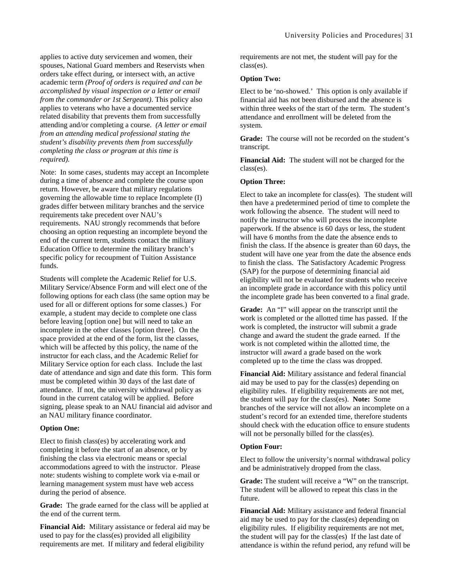applies to active duty servicemen and women, their spouses, National Guard members and Reservists when orders take effect during, or intersect with, an active academic term *(Proof of orders is required and can be accomplished by visual inspection or a letter or email from the commander or 1st Sergeant)*. This policy also applies to veterans who have a documented service related disability that prevents them from successfully attending and/or completing a course. *(A letter or email from an attending medical professional stating the student's disability prevents them from successfully completing the class or program at this time is required).* 

Note: In some cases, students may accept an Incomplete during a time of absence and complete the course upon return. However, be aware that military regulations governing the allowable time to replace Incomplete (I) grades differ between military branches and the service requirements take precedent over NAU's requirements. NAU strongly recommends that before choosing an option requesting an incomplete beyond the end of the current term, students contact the military Education Office to determine the military branch's specific policy for recoupment of Tuition Assistance funds.

Students will complete the Academic Relief for U.S. Military Service/Absence Form and will elect one of the following options for each class (the same option may be used for all or different options for some classes.) For example, a student may decide to complete one class before leaving [option one] but will need to take an incomplete in the other classes [option three]. On the space provided at the end of the form, list the classes, which will be affected by this policy, the name of the instructor for each class, and the Academic Relief for Military Service option for each class. Include the last date of attendance and sign and date this form. This form must be completed within 30 days of the last date of attendance. If not, the university withdrawal policy as found in the current catalog will be applied. Before signing, please speak to an NAU financial aid advisor and an NAU military finance coordinator.

#### **Option One:**

Elect to finish class(es) by accelerating work and completing it before the start of an absence, or by finishing the class via electronic means or special accommodations agreed to with the instructor. Please note: students wishing to complete work via e-mail or learning management system must have web access during the period of absence.

**Grade:** The grade earned for the class will be applied at the end of the current term.

**Financial Aid:** Military assistance or federal aid may be used to pay for the class(es) provided all eligibility requirements are met. If military and federal eligibility

requirements are not met, the student will pay for the class(es).

#### **Option Two:**

Elect to be 'no-showed.' This option is only available if financial aid has not been disbursed and the absence is within three weeks of the start of the term. The student's attendance and enrollment will be deleted from the system.

**Grade:** The course will not be recorded on the student's transcript.

**Financial Aid:** The student will not be charged for the class(es).

#### **Option Three:**

Elect to take an incomplete for class(es). The student will then have a predetermined period of time to complete the work following the absence. The student will need to notify the instructor who will process the incomplete paperwork. If the absence is 60 days or less, the student will have 6 months from the date the absence ends to finish the class. If the absence is greater than 60 days, the student will have one year from the date the absence ends to finish the class. The Satisfactory Academic Progress (SAP) for the purpose of determining financial aid eligibility will not be evaluated for students who receive an incomplete grade in accordance with this policy until the incomplete grade has been converted to a final grade.

**Grade:** An "I" will appear on the transcript until the work is completed or the allotted time has passed. If the work is completed, the instructor will submit a grade change and award the student the grade earned. If the work is not completed within the allotted time, the instructor will award a grade based on the work completed up to the time the class was dropped.

**Financial Aid:** Military assistance and federal financial aid may be used to pay for the class(es) depending on eligibility rules. If eligibility requirements are not met, the student will pay for the class(es). **Note:** Some branches of the service will not allow an incomplete on a student's record for an extended time, therefore students should check with the education office to ensure students will not be personally billed for the class(es).

#### **Option Four:**

Elect to follow the university's normal withdrawal policy and be administratively dropped from the class.

**Grade:** The student will receive a "W" on the transcript. The student will be allowed to repeat this class in the future.

**Financial Aid:** Military assistance and federal financial aid may be used to pay for the class(es) depending on eligibility rules. If eligibility requirements are not met, the student will pay for the class(es) If the last date of attendance is within the refund period, any refund will be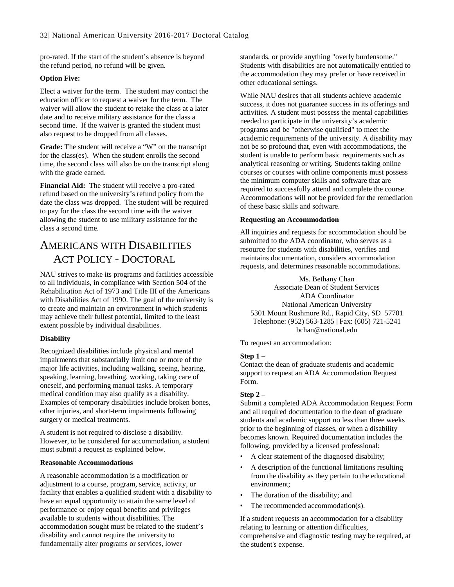pro-rated. If the start of the student's absence is beyond the refund period, no refund will be given.

### **Option Five:**

Elect a waiver for the term. The student may contact the education officer to request a waiver for the term. The waiver will allow the student to retake the class at a later date and to receive military assistance for the class a second time. If the waiver is granted the student must also request to be dropped from all classes.

**Grade:** The student will receive a "W" on the transcript for the class(es). When the student enrolls the second time, the second class will also be on the transcript along with the grade earned.

**Financial Aid:** The student will receive a pro-rated refund based on the university's refund policy from the date the class was dropped. The student will be required to pay for the class the second time with the waiver allowing the student to use military assistance for the class a second time.

### AMERICANS WITH DISABILITIES ACT POLICY - DOCTORAL

NAU strives to make its programs and facilities accessible to all individuals, in compliance with Section 504 of the Rehabilitation Act of 1973 and Title III of the Americans with Disabilities Act of 1990. The goal of the university is to create and maintain an environment in which students may achieve their fullest potential, limited to the least extent possible by individual disabilities.

### **Disability**

Recognized disabilities include physical and mental impairments that substantially limit one or more of the major life activities, including walking, seeing, hearing, speaking, learning, breathing, working, taking care of oneself, and performing manual tasks. A temporary medical condition may also qualify as a disability. Examples of temporary disabilities include broken bones, other injuries, and short-term impairments following surgery or medical treatments.

A student is not required to disclose a disability. However, to be considered for accommodation, a student must submit a request as explained below.

### **Reasonable Accommodations**

A reasonable accommodation is a modification or adjustment to a course, program, service, activity, or facility that enables a qualified student with a disability to have an equal opportunity to attain the same level of performance or enjoy equal benefits and privileges available to students without disabilities. The accommodation sought must be related to the student's disability and cannot require the university to fundamentally alter programs or services, lower

standards, or provide anything "overly burdensome." Students with disabilities are not automatically entitled to the accommodation they may prefer or have received in other educational settings.

While NAU desires that all students achieve academic success, it does not guarantee success in its offerings and activities. A student must possess the mental capabilities needed to participate in the university's academic programs and be "otherwise qualified" to meet the academic requirements of the university. A disability may not be so profound that, even with accommodations, the student is unable to perform basic requirements such as analytical reasoning or writing. Students taking online courses or courses with online components must possess the minimum computer skills and software that are required to successfully attend and complete the course. Accommodations will not be provided for the remediation of these basic skills and software.

#### **Requesting an Accommodation**

All inquiries and requests for accommodation should be submitted to the ADA coordinator, who serves as a resource for students with disabilities, verifies and maintains documentation, considers accommodation requests, and determines reasonable accommodations.

Ms. Bethany Chan Associate Dean of Student Services ADA Coordinator National American University 5301 Mount Rushmore Rd., Rapid City, SD 57701 Telephone: (952) 563-1285 | Fax: (605) 721-5241 bchan@national.edu

To request an accommodation:

### **Step 1 –**

Contact the dean of graduate students and academic support to request an ADA Accommodation Request Form.

### **Step 2 –**

Submit a completed ADA Accommodation Request Form and all required documentation to the dean of graduate students and academic support no less than three weeks prior to the beginning of classes, or when a disability becomes known. Required documentation includes the following, provided by a licensed professional:

- A clear statement of the diagnosed disability;
- A description of the functional limitations resulting from the disability as they pertain to the educational environment;
- The duration of the disability; and
- The recommended accommodation(s).

If a student requests an accommodation for a disability relating to learning or attention difficulties, comprehensive and diagnostic testing may be required, at the student's expense.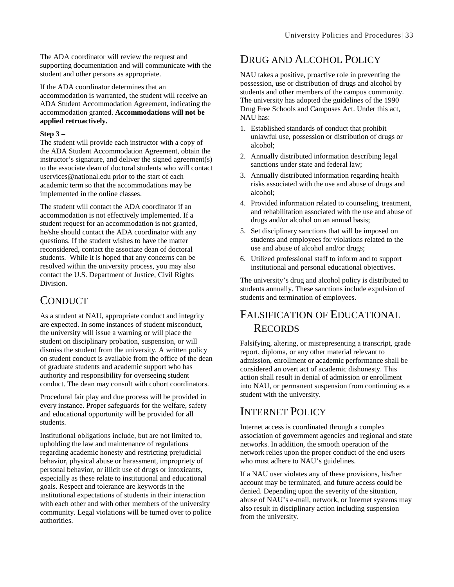The ADA coordinator will review the request and supporting documentation and will communicate with the student and other persons as appropriate.

If the ADA coordinator determines that an accommodation is warranted, the student will receive an ADA Student Accommodation Agreement, indicating the accommodation granted. **Accommodations will not be applied retroactively.**

### **Step 3 –**

The student will provide each instructor with a copy of the ADA Student Accommodation Agreement, obtain the instructor's signature, and deliver the signed agreement(s) to the associate dean of doctoral students who will contact uservices@national.edu prior to the start of each academic term so that the accommodations may be implemented in the online classes.

The student will contact the ADA coordinator if an accommodation is not effectively implemented. If a student request for an accommodation is not granted, he/she should contact the ADA coordinator with any questions. If the student wishes to have the matter reconsidered, contact the associate dean of doctoral students. While it is hoped that any concerns can be resolved within the university process, you may also contact the U.S. Department of Justice, Civil Rights Division.

### **CONDUCT**

As a student at NAU, appropriate conduct and integrity are expected. In some instances of student misconduct, the university will issue a warning or will place the student on disciplinary probation, suspension, or will dismiss the student from the university. A written policy on student conduct is available from the office of the dean of graduate students and academic support who has authority and responsibility for overseeing student conduct. The dean may consult with cohort coordinators.

Procedural fair play and due process will be provided in every instance. Proper safeguards for the welfare, safety and educational opportunity will be provided for all students.

Institutional obligations include, but are not limited to, upholding the law and maintenance of regulations regarding academic honesty and restricting prejudicial behavior, physical abuse or harassment, impropriety of personal behavior, or illicit use of drugs or intoxicants, especially as these relate to institutional and educational goals. Respect and tolerance are keywords in the institutional expectations of students in their interaction with each other and with other members of the university community. Legal violations will be turned over to police authorities.

### DRUG AND ALCOHOL POLICY

NAU takes a positive, proactive role in preventing the possession, use or distribution of drugs and alcohol by students and other members of the campus community. The university has adopted the guidelines of the 1990 Drug Free Schools and Campuses Act. Under this act, NAU has:

- 1. Established standards of conduct that prohibit unlawful use, possession or distribution of drugs or alcohol;
- 2. Annually distributed information describing legal sanctions under state and federal law;
- 3. Annually distributed information regarding health risks associated with the use and abuse of drugs and alcohol;
- 4. Provided information related to counseling, treatment, and rehabilitation associated with the use and abuse of drugs and/or alcohol on an annual basis;
- 5. Set disciplinary sanctions that will be imposed on students and employees for violations related to the use and abuse of alcohol and/or drugs;
- 6. Utilized professional staff to inform and to support institutional and personal educational objectives.

The university's drug and alcohol policy is distributed to students annually. These sanctions include expulsion of students and termination of employees.

### FALSIFICATION OF EDUCATIONAL **RECORDS**

Falsifying, altering, or misrepresenting a transcript, grade report, diploma, or any other material relevant to admission, enrollment or academic performance shall be considered an overt act of academic dishonesty. This action shall result in denial of admission or enrollment into NAU, or permanent suspension from continuing as a student with the university.

### INTERNET POLICY

Internet access is coordinated through a complex association of government agencies and regional and state networks. In addition, the smooth operation of the network relies upon the proper conduct of the end users who must adhere to NAU's guidelines.

If a NAU user violates any of these provisions, his/her account may be terminated, and future access could be denied. Depending upon the severity of the situation, abuse of NAU's e-mail, network, or Internet systems may also result in disciplinary action including suspension from the university.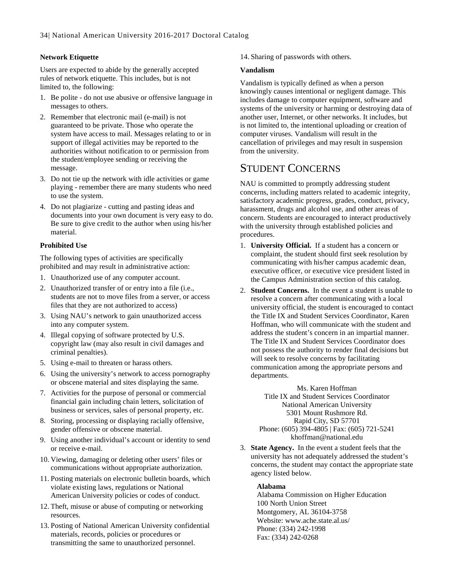### **Network Etiquette**

Users are expected to abide by the generally accepted rules of network etiquette. This includes, but is not limited to, the following:

- 1. Be polite do not use abusive or offensive language in messages to others.
- 2. Remember that electronic mail (e-mail) is not guaranteed to be private. Those who operate the system have access to mail. Messages relating to or in support of illegal activities may be reported to the authorities without notification to or permission from the student/employee sending or receiving the message.
- 3. Do not tie up the network with idle activities or game playing - remember there are many students who need to use the system.
- 4. Do not plagiarize cutting and pasting ideas and documents into your own document is very easy to do. Be sure to give credit to the author when using his/her material.

### **Prohibited Use**

The following types of activities are specifically prohibited and may result in administrative action:

- 1. Unauthorized use of any computer account.
- 2. Unauthorized transfer of or entry into a file (i.e., students are not to move files from a server, or access files that they are not authorized to access)
- 3. Using NAU's network to gain unauthorized access into any computer system.
- 4. Illegal copying of software protected by U.S. copyright law (may also result in civil damages and criminal penalties).
- 5. Using e-mail to threaten or harass others.
- 6. Using the university's network to access pornography or obscene material and sites displaying the same.
- 7. Activities for the purpose of personal or commercial financial gain including chain letters, solicitation of business or services, sales of personal property, etc.
- 8. Storing, processing or displaying racially offensive, gender offensive or obscene material.
- 9. Using another individual's account or identity to send or receive e-mail.
- 10. Viewing, damaging or deleting other users' files or communications without appropriate authorization.
- 11. Posting materials on electronic bulletin boards, which violate existing laws, regulations or National American University policies or codes of conduct.
- 12. Theft, misuse or abuse of computing or networking resources.
- 13. Posting of National American University confidential materials, records, policies or procedures or transmitting the same to unauthorized personnel.

14. Sharing of passwords with others.

### **Vandalism**

Vandalism is typically defined as when a person knowingly causes intentional or negligent damage. This includes damage to computer equipment, software and systems of the university or harming or destroying data of another user, Internet, or other networks. It includes, but is not limited to, the intentional uploading or creation of computer viruses. Vandalism will result in the cancellation of privileges and may result in suspension from the university.

### STUDENT CONCERNS

NAU is committed to promptly addressing student concerns, including matters related to academic integrity, satisfactory academic progress, grades, conduct, privacy, harassment, drugs and alcohol use, and other areas of concern. Students are encouraged to interact productively with the university through established policies and procedures.

- 1. **University Official.** If a student has a concern or complaint, the student should first seek resolution by communicating with his/her campus academic dean, executive officer, or executive vice president listed in the Campus Administration section of this catalog.
- 2. **Student Concerns.** In the event a student is unable to resolve a concern after communicating with a local university official, the student is encouraged to contact the Title IX and Student Services Coordinator, Karen Hoffman, who will communicate with the student and address the student's concern in an impartial manner. The Title IX and Student Services Coordinator does not possess the authority to render final decisions but will seek to resolve concerns by facilitating communication among the appropriate persons and departments.

Ms. Karen Hoffman Title IX and Student Services Coordinator National American University 5301 Mount Rushmore Rd. Rapid City, SD 57701 Phone: (605) 394-4805 | Fax: (605) 721-5241 khoffman@national.edu

3. **State Agency.** In the event a student feels that the university has not adequately addressed the student's concerns, the student may contact the appropriate state agency listed below.

### **Alabama**

Alabama Commission on Higher Education 100 North Union Street Montgomery, AL 36104-3758 Website: www.ache.state.al.us/ Phone: (334) 242-1998 Fax: (334) 242-0268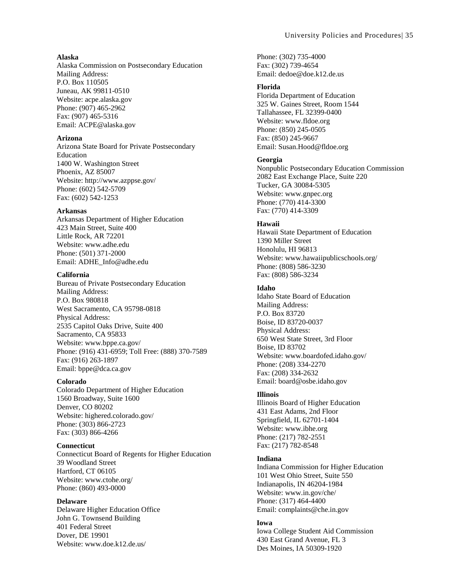#### **Alaska**

Alaska Commission on Postsecondary Education Mailing Address: P.O. Box 110505 Juneau, AK 99811-0510 Website: acpe.alaska.gov Phone: (907) 465-2962 Fax: (907) 465-5316 Email: ACPE@alaska.gov

#### **Arizona**

Arizona State Board for Private Postsecondary Education 1400 W. Washington Street Phoenix, AZ 85007 Website: http://www.azppse.gov/ Phone: (602) 542-5709 Fax: (602) 542-1253

#### **Arkansas**

Arkansas Department of Higher Education 423 Main Street, Suite 400 Little Rock, AR 72201 Website: www.adhe.edu Phone: (501) 371-2000 Email: ADHE\_Info@adhe.edu

#### **California**

Bureau of Private Postsecondary Education Mailing Address: P.O. Box 980818 West Sacramento, CA 95798-0818 Physical Address: 2535 Capitol Oaks Drive, Suite 400 Sacramento, CA 95833 Website: www.bppe.ca.gov/ Phone: (916) 431-6959; Toll Free: (888) 370-7589 Fax: (916) 263-1897 Email: bppe@dca.ca.gov

#### **Colorado**

Colorado Department of Higher Education 1560 Broadway, Suite 1600 Denver, CO 80202 Website: highered.colorado.gov/ Phone: (303) 866-2723 Fax: (303) 866-4266

#### **Connecticut**

Connecticut Board of Regents for Higher Education 39 Woodland Street Hartford, CT 06105 Website: www.ctohe.org/ Phone: (860) 493-0000

#### **Delaware**

Delaware Higher Education Office John G. Townsend Building 401 Federal Street Dover, DE 19901 Website: www.doe.k12.de.us/

Phone: (302) 735-4000 Fax: (302) 739-4654 Email: dedoe@doe.k12.de.us

#### **Florida**

Florida Department of Education 325 W. Gaines Street, Room 1544 Tallahassee, FL 32399-0400 Website: www.fldoe.org Phone: (850) 245-0505 Fax: (850) 245-9667 Email: Susan.Hood@fldoe.org

#### **Georgia**

Nonpublic Postsecondary Education Commission 2082 East Exchange Place, Suite 220 Tucker, GA 30084-5305 Website: www.gnpec.org Phone: (770) 414-3300 Fax: (770) 414-3309

#### **Hawaii**

Hawaii State Department of Education 1390 Miller Street Honolulu, HI 96813 Website: www.hawaiipublicschools.org/ Phone: (808) 586-3230 Fax: (808) 586-3234

#### **Idaho**

Idaho State Board of Education Mailing Address: P.O. Box 83720 Boise, ID 83720-0037 Physical Address: 650 West State Street, 3rd Floor Boise, ID 83702 Website: www.boardofed.idaho.gov/ Phone: (208) 334-2270 Fax: (208) 334-2632 Email: board@osbe.idaho.gov

#### **Illinois**

Illinois Board of Higher Education 431 East Adams, 2nd Floor Springfield, IL 62701-1404 Website: www.ibhe.org Phone: (217) 782-2551 Fax: (217) 782-8548

#### **Indiana**

Indiana Commission for Higher Education 101 West Ohio Street, Suite 550 Indianapolis, IN 46204-1984 Website: www.in.gov/che/ Phone: (317) 464-4400 Email: complaints@che.in.gov

#### **Iowa**

Iowa College Student Aid Commission 430 East Grand Avenue, FL 3 Des Moines, IA 50309-1920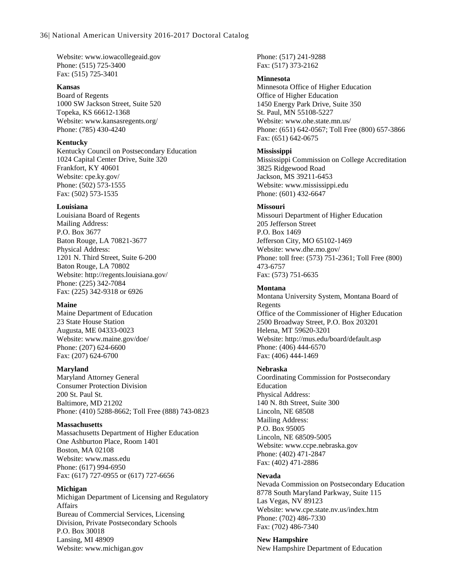Website: www.iowacollegeaid.gov Phone: (515) 725-3400 Fax: (515) 725-3401

#### **Kansas**

Board of Regents 1000 SW Jackson Street, Suite 520 Topeka, KS 66612-1368 Website: www.kansasregents.org/ Phone: (785) 430-4240

#### **Kentucky**

Kentucky Council on Postsecondary Education 1024 Capital Center Drive, Suite 320 Frankfort, KY 40601 Website: cpe.ky.gov/ Phone: (502) 573-1555 Fax: (502) 573-1535

#### **Louisiana**

Louisiana Board of Regents Mailing Address: P.O. Box 3677 Baton Rouge, LA 70821-3677 Physical Address: 1201 N. Third Street, Suite 6-200 Baton Rouge, LA 70802 Website: http://regents.louisiana.gov/ Phone: (225) 342-7084 Fax: (225) 342-9318 or 6926

#### **Maine**

Maine Department of Education 23 State House Station Augusta, ME 04333-0023 Website: www.maine.gov/doe/ Phone: (207) 624-6600 Fax: (207) 624-6700

#### **Maryland**

Maryland Attorney General Consumer Protection Division 200 St. Paul St. Baltimore, MD 21202 Phone: (410) 5288-8662; Toll Free (888) 743-0823

### **Massachusetts**

Massachusetts Department of Higher Education One Ashburton Place, Room 1401 Boston, MA 02108 Website: www.mass.edu Phone: (617) 994-6950 Fax: (617) 727-0955 or (617) 727-6656

### **Michigan**

Michigan Department of Licensing and Regulatory Affairs Bureau of Commercial Services, Licensing Division, Private Postsecondary Schools P.O. Box 30018 Lansing, MI 48909 Website: www.michigan.gov

Phone: (517) 241-9288 Fax: (517) 373-2162

### **Minnesota**

Minnesota Office of Higher Education Office of Higher Education 1450 Energy Park Drive, Suite 350 St. Paul, MN 55108-5227 Website: www.ohe.state.mn.us/ Phone: (651) 642-0567; Toll Free (800) 657-3866 Fax: (651) 642-0675

### **Mississippi**

Mississippi Commission on College Accreditation 3825 Ridgewood Road Jackson, MS 39211-6453 Website: www.mississippi.edu Phone: (601) 432-6647

### **Missouri**

Missouri Department of Higher Education 205 Jefferson Street P.O. Box 1469 Jefferson City, MO 65102-1469 Website: www.dhe.mo.gov/ Phone: toll free: (573) 751-2361; Toll Free (800) 473-6757 Fax: (573) 751-6635

### **Montana**

Montana University System, Montana Board of Regents Office of the Commissioner of Higher Education 2500 Broadway Street, P.O. Box 203201 Helena, MT 59620-3201 Website: http://mus.edu/board/default.asp Phone: (406) 444-6570 Fax: (406) 444-1469

### **Nebraska**

Coordinating Commission for Postsecondary Education Physical Address: 140 N. 8th Street, Suite 300 Lincoln, NE 68508 Mailing Address: P.O. Box 95005 Lincoln, NE 68509-5005 Website: www.ccpe.nebraska.gov Phone: (402) 471-2847 Fax: (402) 471-2886

#### **Nevada**

Nevada Commission on Postsecondary Education 8778 South Maryland Parkway, Suite 115 Las Vegas, NV 89123 Website: www.cpe.state.nv.us/index.htm Phone: (702) 486-7330 Fax: (702) 486-7340

**New Hampshire**  New Hampshire Department of Education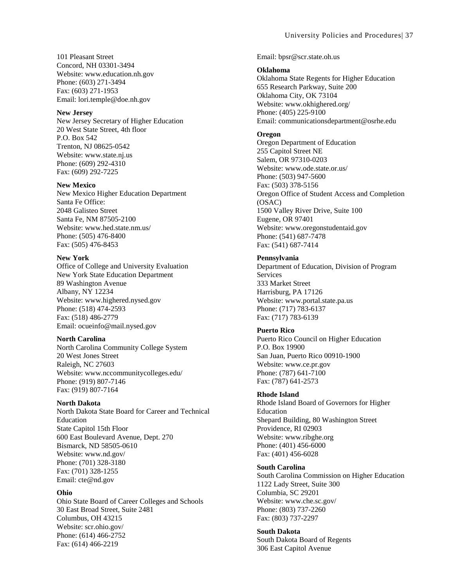#### **New Jersey**

New Jersey Secretary of Higher Education 20 West State Street, 4th floor P.O. Box 542 Trenton, NJ 08625-0542 Website: www.state.nj.us Phone: (609) 292-4310 Fax: (609) 292-7225

#### **New Mexico**

New Mexico Higher Education Department Santa Fe Office: 2048 Galisteo Street Santa Fe, NM 87505-2100 Website: www.hed.state.nm.us/ Phone: (505) 476-8400 Fax: (505) 476-8453

#### **New York**

Office of College and University Evaluation New York State Education Department 89 Washington Avenue Albany, NY 12234 Website: www.highered.nysed.gov Phone: (518) 474-2593 Fax: (518) 486-2779 Email: ocueinfo@mail.nysed.gov

#### **North Carolina**

North Carolina Community College System 20 West Jones Street Raleigh, NC 27603 Website: www.nccommunitycolleges.edu/ Phone: (919) 807-7146 Fax: (919) 807-7164

### **North Dakota**

North Dakota State Board for Career and Technical Education State Capitol 15th Floor 600 East Boulevard Avenue, Dept. 270 Bismarck, ND 58505-0610 Website: www.nd.gov/ Phone: (701) 328-3180 Fax: (701) 328-1255 Email: cte@nd.gov

#### **Ohio**

Ohio State Board of Career Colleges and Schools 30 East Broad Street, Suite 2481 Columbus, OH 43215 Website: scr.ohio.gov/ Phone: (614) 466-2752 Fax: (614) 466-2219

Email: bpsr@scr.state.oh.us

#### **Oklahoma**

Oklahoma State Regents for Higher Education 655 Research Parkway, Suite 200 Oklahoma City, OK 73104 Website: www.okhighered.org/ Phone: (405) 225-9100 Email: communicationsdepartment@osrhe.edu

#### **Oregon**

Oregon Department of Education 255 Capitol Street NE Salem, OR 97310-0203 Website: www.ode.state.or.us/ Phone: (503) 947-5600 Fax: (503) 378-5156 Oregon Office of Student Access and Completion (OSAC) 1500 Valley River Drive, Suite 100 Eugene, OR 97401 Website: www.oregonstudentaid.gov Phone: (541) 687-7478 Fax: (541) 687-7414

#### **Pennsylvania**

Department of Education, Division of Program **Services** 333 Market Street Harrisburg, PA 17126 Website: www.portal.state.pa.us Phone: (717) 783-6137 Fax: (717) 783-6139

#### **Puerto Rico**

Puerto Rico Council on Higher Education P.O. Box 19900 San Juan, Puerto Rico 00910-1900 Website: www.ce.pr.gov Phone: (787) 641-7100 Fax: (787) 641-2573

#### **Rhode Island**

Rhode Island Board of Governors for Higher Education Shepard Building, 80 Washington Street Providence, RI 02903 Website: www.ribghe.org Phone: (401) 456-6000 Fax: (401) 456-6028

#### **South Carolina**

South Carolina Commission on Higher Education 1122 Lady Street, Suite 300 Columbia, SC 29201 Website: www.che.sc.gov/ Phone: (803) 737-2260 Fax: (803) 737-2297

#### **South Dakota**

South Dakota Board of Regents 306 East Capitol Avenue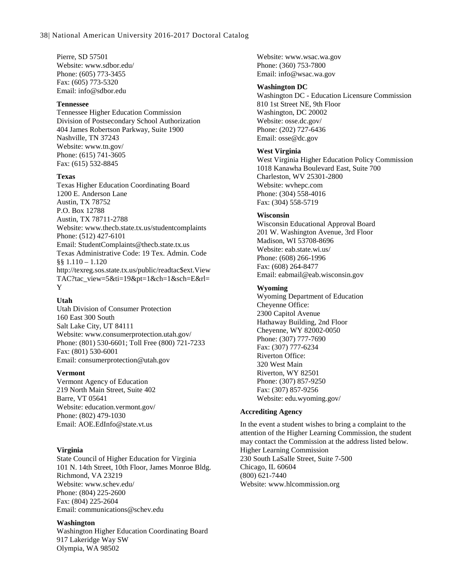Pierre, SD 57501 Website: www.sdbor.edu/ Phone: (605) 773-3455 Fax: (605) 773-5320 Email: info@sdbor.edu

#### **Tennessee**

Tennessee Higher Education Commission Division of Postsecondary School Authorization 404 James Robertson Parkway, Suite 1900 Nashville, TN 37243 Website: www.tn.gov/ Phone: (615) 741-3605 Fax: (615) 532-8845

#### **Texas**

Texas Higher Education Coordinating Board 1200 E. Anderson Lane Austin, TX 78752 P.O. Box 12788 Austin, TX 78711-2788 Website: www.thecb.state.tx.us/studentcomplaints Phone: (512) 427-6101 Email: StudentComplaints@thecb.state.tx.us Texas Administrative Code: 19 Tex. Admin. Code §§ 1.110 – 1.120 http://texreg.sos.state.tx.us/public/readtac\$ext.View TAC?tac\_view=5&ti=19&pt=1&ch=1&sch=E&rl= Y

### **Utah**

Utah Division of Consumer Protection 160 East 300 South Salt Lake City, UT 84111 Website: www.consumerprotection.utah.gov/ Phone: (801) 530-6601; Toll Free (800) 721-7233 Fax: (801) 530-6001 Email: consumerprotection@utah.gov

#### **Vermont**

Vermont Agency of Education 219 North Main Street, Suite 402 Barre, VT 05641 Website: education.vermont.gov/ Phone: (802) 479-1030 Email: AOE.EdInfo@state.vt.us

### **Virginia**

State Council of Higher Education for Virginia 101 N. 14th Street, 10th Floor, James Monroe Bldg. Richmond, VA 23219 Website: www.schev.edu/ Phone: (804) 225-2600 Fax: (804) 225-2604 Email: communications@schev.edu

#### **Washington**

Washington Higher Education Coordinating Board 917 Lakeridge Way SW Olympia, WA 98502

Website: www.wsac.wa.gov Phone: (360) 753-7800 Email: info@wsac.wa.gov

### **Washington DC**

Washington DC - Education Licensure Commission 810 1st Street NE, 9th Floor Washington, DC 20002 Website: osse.dc.gov/ Phone: (202) 727-6436 Email: osse@dc.gov

#### **West Virginia**

West Virginia Higher Education Policy Commission 1018 Kanawha Boulevard East, Suite 700 Charleston, WV 25301-2800 Website: wvhepc.com Phone: (304) 558-4016 Fax: (304) 558-5719

#### **Wisconsin**

Wisconsin Educational Approval Board 201 W. Washington Avenue, 3rd Floor Madison, WI 53708-8696 Website: eab.state.wi.us/ Phone: (608) 266-1996 Fax: (608) 264-8477 Email: eabmail@eab.wisconsin.gov

### **Wyoming**

Wyoming Department of Education Cheyenne Office: 2300 Capitol Avenue Hathaway Building, 2nd Floor Cheyenne, WY 82002-0050 Phone: (307) 777-7690 Fax: (307) 777-6234 Riverton Office: 320 West Main Riverton, WY 82501 Phone: (307) 857-9250 Fax: (307) 857-9256 Website: edu.wyoming.gov/

#### **Accrediting Agency**

In the event a student wishes to bring a complaint to the attention of the Higher Learning Commission, the student may contact the Commission at the address listed below. Higher Learning Commission 230 South LaSalle Street, Suite 7-500 Chicago, IL 60604 (800) 621-7440 Website: www.hlcommission.org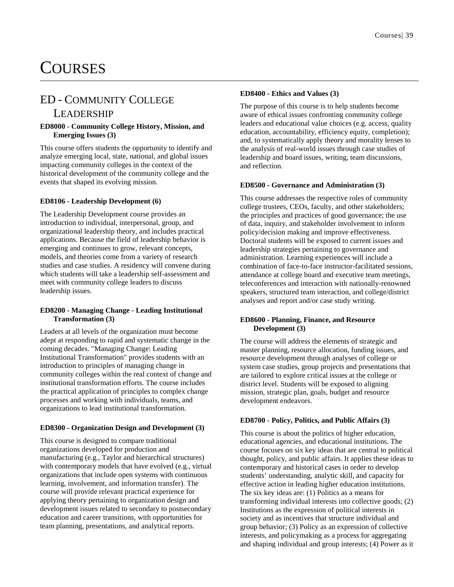## **COURSES**

### ED - COMMUNITY COLLEGE

### LEADERSHIP

### **ED8000 - Community College History, Mission, and Emerging Issues (3)**

This course offers students the opportunity to identify and analyze emerging local, state, national, and global issues impacting community colleges in the context of the historical development of the community college and the events that shaped its evolving mission.

### **ED8106 - Leadership Development (6)**

The Leadership Development course provides an introduction to individual, interpersonal, group, and organizational leadership theory, and includes practical applications. Because the field of leadership behavior is emerging and continues to grow, relevant concepts, models, and theories come from a variety of research studies and case studies. A residency will convene during which students will take a leadership self-assessment and meet with community college leaders to discuss leadership issues.

#### **ED8200 - Managing Change - Leading Institutional Transformation (3)**

Leaders at all levels of the organization must become adept at responding to rapid and systematic change in the coming decades. "Managing Change: Leading Institutional Transformation" provides students with an introduction to principles of managing change in community colleges within the real context of change and institutional transformation efforts. The course includes the practical application of principles to complex change processes and working with individuals, teams, and organizations to lead institutional transformation.

### **ED8300 - Organization Design and Development (3)**

This course is designed to compare traditional organizations developed for production and manufacturing (e.g., Taylor and hierarchical structures) with contemporary models that have evolved (e.g., virtual organizations that include open systems with continuous learning, involvement, and information transfer). The course will provide relevant practical experience for applying theory pertaining to organization design and development issues related to secondary to postsecondary education and career transitions, with opportunities for team planning, presentations, and analytical reports.

### **ED8400 - Ethics and Values (3)**

The purpose of this course is to help students become aware of ethical issues confronting community college leaders and educational value choices (e.g. access, quality education, accountability, efficiency equity, completion); and, to systematically apply theory and morality lenses to the analysis of real-world issues through case studies of leadership and board issues, writing, team discussions, and reflection.

### **ED8500 - Governance and Administration (3)**

This course addresses the respective roles of community college trustees, CEOs, faculty, and other stakeholders; the principles and practices of good governance; the use of data, inquiry, and stakeholder involvement to inform policy/decision making and improve effectiveness. Doctoral students will be exposed to current issues and leadership strategies pertaining to governance and administration. Learning experiences will include a combination of face-to-face instructor-facilitated sessions, attendance at college board and executive team meetings, teleconferences and interaction with nationally-renowned speakers, structured team interaction, and college/district analyses and report and/or case study writing.

### **ED8600 - Planning, Finance, and Resource Development (3)**

The course will address the elements of strategic and master planning, resource allocation, funding issues, and resource development through analyses of college or system case studies, group projects and presentations that are tailored to explore critical issues at the college or district level. Students will be exposed to aligning mission, strategic plan, goals, budget and resource development endeavors.

### **ED8700 - Policy, Politics, and Public Affairs (3)**

This course is about the politics of higher education, educational agencies, and educational institutions. The course focuses on six key ideas that are central to political thought, policy, and public affairs. It applies these ideas to contemporary and historical cases in order to develop students' understanding, analytic skill, and capacity for effective action in leading higher education institutions. The six key ideas are: (1) Politics as a means for transforming individual interests into collective goods; (2) Institutions as the expression of political interests in society and as incentives that structure individual and group behavior; (3) Policy as an expression of collective interests, and policymaking as a process for aggregating and shaping individual and group interests; (4) Power as it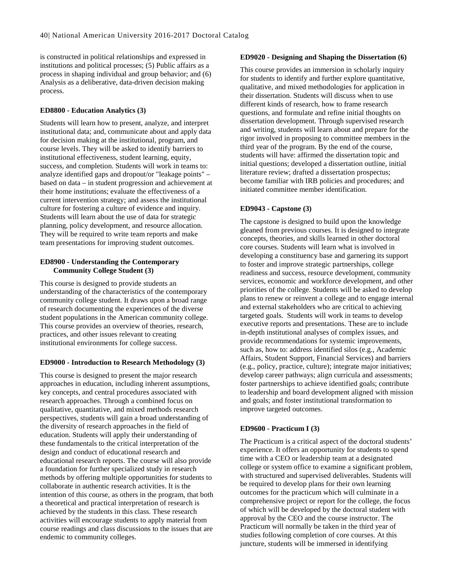is constructed in political relationships and expressed in institutions and political processes; (5) Public affairs as a process in shaping individual and group behavior; and (6) Analysis as a deliberative, data-driven decision making process.

#### **ED8800 - Education Analytics (3)**

Students will learn how to present, analyze, and interpret institutional data; and, communicate about and apply data for decision making at the institutional, program, and course levels. They will be asked to identify barriers to institutional effectiveness, student learning, equity, success, and completion. Students will work in teams to: analyze identified gaps and dropout/or "leakage points" – based on data – in student progression and achievement at their home institutions; evaluate the effectiveness of a current intervention strategy; and assess the institutional culture for fostering a culture of evidence and inquiry. Students will learn about the use of data for strategic planning, policy development, and resource allocation. They will be required to write team reports and make team presentations for improving student outcomes.

#### **ED8900 - Understanding the Contemporary Community College Student (3)**

This course is designed to provide students an understanding of the characteristics of the contemporary community college student. It draws upon a broad range of research documenting the experiences of the diverse student populations in the American community college. This course provides an overview of theories, research, practices, and other issues relevant to creating institutional environments for college success.

#### **ED9000 - Introduction to Research Methodology (3)**

This course is designed to present the major research approaches in education, including inherent assumptions, key concepts, and central procedures associated with research approaches. Through a combined focus on qualitative, quantitative, and mixed methods research perspectives, students will gain a broad understanding of the diversity of research approaches in the field of education. Students will apply their understanding of these fundamentals to the critical interpretation of the design and conduct of educational research and educational research reports. The course will also provide a foundation for further specialized study in research methods by offering multiple opportunities for students to collaborate in authentic research activities. It is the intention of this course, as others in the program, that both a theoretical and practical interpretation of research is achieved by the students in this class. These research activities will encourage students to apply material from course readings and class discussions to the issues that are endemic to community colleges.

#### **ED9020 - Designing and Shaping the Dissertation (6)**

This course provides an immersion in scholarly inquiry for students to identify and further explore quantitative, qualitative, and mixed methodologies for application in their dissertation. Students will discuss when to use different kinds of research, how to frame research questions, and formulate and refine initial thoughts on dissertation development. Through supervised research and writing, students will learn about and prepare for the rigor involved in proposing to committee members in the third year of the program. By the end of the course, students will have: affirmed the dissertation topic and initial questions; developed a dissertation outline, initial literature review; drafted a dissertation prospectus; become familiar with IRB policies and procedures; and initiated committee member identification.

#### **ED9043 - Capstone (3)**

The capstone is designed to build upon the knowledge gleaned from previous courses. It is designed to integrate concepts, theories, and skills learned in other doctoral core courses. Students will learn what is involved in developing a constituency base and garnering its support to foster and improve strategic partnerships, college readiness and success, resource development, community services, economic and workforce development, and other priorities of the college. Students will be asked to develop plans to renew or reinvent a college and to engage internal and external stakeholders who are critical to achieving targeted goals. Students will work in teams to develop executive reports and presentations. These are to include in-depth institutional analyses of complex issues, and provide recommendations for systemic improvements, such as, how to: address identified silos (e.g., Academic Affairs, Student Support, Financial Services) and barriers (e.g., policy, practice, culture); integrate major initiatives; develop career pathways; align curricula and assessments; foster partnerships to achieve identified goals; contribute to leadership and board development aligned with mission and goals; and foster institutional transformation to improve targeted outcomes.

#### **ED9600 - Practicum I (3)**

The Practicum is a critical aspect of the doctoral students' experience. It offers an opportunity for students to spend time with a CEO or leadership team at a designated college or system office to examine a significant problem, with structured and supervised deliverables. Students will be required to develop plans for their own learning outcomes for the practicum which will culminate in a comprehensive project or report for the college, the focus of which will be developed by the doctoral student with approval by the CEO and the course instructor. The Practicum will normally be taken in the third year of studies following completion of core courses. At this juncture, students will be immersed in identifying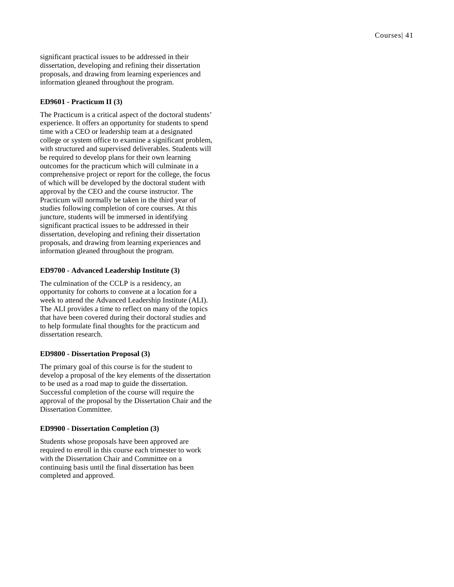significant practical issues to be addressed in their dissertation, developing and refining their dissertation proposals, and drawing from learning experiences and information gleaned throughout the program.

### **ED9601 - Practicum II (3)**

The Practicum is a critical aspect of the doctoral students' experience. It offers an opportunity for students to spend time with a CEO or leadership team at a designated college or system office to examine a significant problem, with structured and supervised deliverables. Students will be required to develop plans for their own learning outcomes for the practicum which will culminate in a comprehensive project or report for the college, the focus of which will be developed by the doctoral student with approval by the CEO and the course instructor. The Practicum will normally be taken in the third year of studies following completion of core courses. At this juncture, students will be immersed in identifying significant practical issues to be addressed in their dissertation, developing and refining their dissertation proposals, and drawing from learning experiences and information gleaned throughout the program.

### **ED9700 - Advanced Leadership Institute (3)**

The culmination of the CCLP is a residency, an opportunity for cohorts to convene at a location for a week to attend the Advanced Leadership Institute (ALI). The ALI provides a time to reflect on many of the topics that have been covered during their doctoral studies and to help formulate final thoughts for the practicum and dissertation research.

### **ED9800 - Dissertation Proposal (3)**

The primary goal of this course is for the student to develop a proposal of the key elements of the dissertation to be used as a road map to guide the dissertation. Successful completion of the course will require the approval of the proposal by the Dissertation Chair and the Dissertation Committee.

### **ED9900 - Dissertation Completion (3)**

Students whose proposals have been approved are required to enroll in this course each trimester to work with the Dissertation Chair and Committee on a continuing basis until the final dissertation has been completed and approved.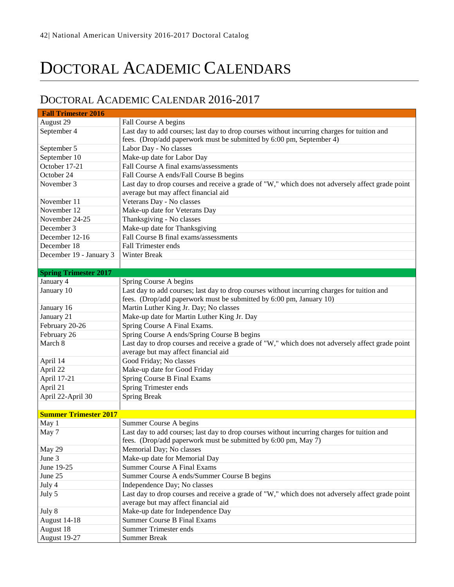# DOCTORAL ACADEMIC CALENDARS

### <span id="page-42-0"></span>DOCTORAL ACADEMIC CALENDAR 2016-2017

| <b>Fall Trimester 2016</b>   |                                                                                                                                                                    |
|------------------------------|--------------------------------------------------------------------------------------------------------------------------------------------------------------------|
| August 29                    | Fall Course A begins                                                                                                                                               |
| September 4                  | Last day to add courses; last day to drop courses without incurring charges for tuition and                                                                        |
|                              | fees. (Drop/add paperwork must be submitted by 6:00 pm, September 4)                                                                                               |
| September 5                  | Labor Day - No classes                                                                                                                                             |
| September 10                 | Make-up date for Labor Day                                                                                                                                         |
| October 17-21                | Fall Course A final exams/assessments                                                                                                                              |
| October 24                   | Fall Course A ends/Fall Course B begins                                                                                                                            |
| November 3                   | Last day to drop courses and receive a grade of "W," which does not adversely affect grade point<br>average but may affect financial aid                           |
| November 11                  | Veterans Day - No classes                                                                                                                                          |
| November 12                  | Make-up date for Veterans Day                                                                                                                                      |
| November 24-25               | Thanksgiving - No classes                                                                                                                                          |
| December 3                   | Make-up date for Thanksgiving                                                                                                                                      |
| December 12-16               | Fall Course B final exams/assessments                                                                                                                              |
| December 18                  | <b>Fall Trimester ends</b>                                                                                                                                         |
| December 19 - January 3      | Winter Break                                                                                                                                                       |
|                              |                                                                                                                                                                    |
| <b>Spring Trimester 2017</b> |                                                                                                                                                                    |
| January 4                    | Spring Course A begins                                                                                                                                             |
| January 10                   | Last day to add courses; last day to drop courses without incurring charges for tuition and<br>fees. (Drop/add paperwork must be submitted by 6:00 pm, January 10) |
| January 16                   | Martin Luther King Jr. Day; No classes                                                                                                                             |
| January 21                   | Make-up date for Martin Luther King Jr. Day                                                                                                                        |
| February 20-26               | Spring Course A Final Exams.                                                                                                                                       |
| February 26                  | Spring Course A ends/Spring Course B begins                                                                                                                        |
| March 8                      | Last day to drop courses and receive a grade of "W," which does not adversely affect grade point                                                                   |
|                              | average but may affect financial aid                                                                                                                               |
| April 14                     | Good Friday; No classes                                                                                                                                            |
| April 22                     | Make-up date for Good Friday                                                                                                                                       |
| April 17-21                  | Spring Course B Final Exams                                                                                                                                        |
| April 21                     | Spring Trimester ends                                                                                                                                              |
| April 22-April 30            | <b>Spring Break</b>                                                                                                                                                |
|                              |                                                                                                                                                                    |
| <b>Summer Trimester 2017</b> |                                                                                                                                                                    |
| May 1                        | Summer Course A begins                                                                                                                                             |
| May 7                        | Last day to add courses; last day to drop courses without incurring charges for tuition and                                                                        |
|                              | fees. (Drop/add paperwork must be submitted by 6:00 pm, May 7)                                                                                                     |
| May 29                       | Memorial Day; No classes                                                                                                                                           |
| June 3                       | Make-up date for Memorial Day                                                                                                                                      |
| June 19-25                   | <b>Summer Course A Final Exams</b>                                                                                                                                 |
| June 25                      | Summer Course A ends/Summer Course B begins                                                                                                                        |
| July 4                       | Independence Day; No classes                                                                                                                                       |
| July 5                       | Last day to drop courses and receive a grade of "W," which does not adversely affect grade point                                                                   |
|                              | average but may affect financial aid                                                                                                                               |
| July 8                       | Make-up date for Independence Day                                                                                                                                  |
| August 14-18                 | <b>Summer Course B Final Exams</b>                                                                                                                                 |
| August 18                    | <b>Summer Trimester ends</b>                                                                                                                                       |
| August 19-27                 | <b>Summer Break</b>                                                                                                                                                |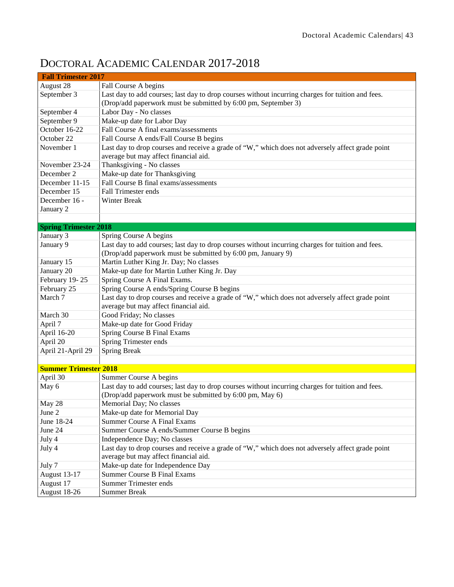| <b>Fall Trimester 2017</b>   |                                                                                                                                           |  |
|------------------------------|-------------------------------------------------------------------------------------------------------------------------------------------|--|
| August 28                    | Fall Course A begins                                                                                                                      |  |
| September 3                  | Last day to add courses; last day to drop courses without incurring charges for tuition and fees.                                         |  |
|                              | (Drop/add paperwork must be submitted by 6:00 pm, September 3)                                                                            |  |
| September 4                  | Labor Day - No classes                                                                                                                    |  |
| September 9                  | Make-up date for Labor Day                                                                                                                |  |
| October 16-22                | Fall Course A final exams/assessments                                                                                                     |  |
| October 22                   | Fall Course A ends/Fall Course B begins                                                                                                   |  |
| November 1                   | Last day to drop courses and receive a grade of "W," which does not adversely affect grade point<br>average but may affect financial aid. |  |
| November 23-24               | Thanksgiving - No classes                                                                                                                 |  |
| December 2                   | Make-up date for Thanksgiving                                                                                                             |  |
| December 11-15               | Fall Course B final exams/assessments                                                                                                     |  |
| December 15                  | <b>Fall Trimester ends</b>                                                                                                                |  |
| December 16 -                | Winter Break                                                                                                                              |  |
| January 2                    |                                                                                                                                           |  |
|                              |                                                                                                                                           |  |
| <b>Spring Trimester 2018</b> |                                                                                                                                           |  |
| January 3                    | Spring Course A begins                                                                                                                    |  |
| January 9                    | Last day to add courses; last day to drop courses without incurring charges for tuition and fees.                                         |  |
|                              | (Drop/add paperwork must be submitted by 6:00 pm, January 9)                                                                              |  |
| January 15                   | Martin Luther King Jr. Day; No classes                                                                                                    |  |
| January 20                   | Make-up date for Martin Luther King Jr. Day                                                                                               |  |
| February 19-25               | Spring Course A Final Exams.                                                                                                              |  |
| February 25                  | Spring Course A ends/Spring Course B begins                                                                                               |  |
| March 7                      | Last day to drop courses and receive a grade of "W," which does not adversely affect grade point                                          |  |
|                              | average but may affect financial aid.                                                                                                     |  |
| March 30                     | Good Friday; No classes                                                                                                                   |  |
| April 7                      | Make-up date for Good Friday                                                                                                              |  |
| April 16-20                  | Spring Course B Final Exams                                                                                                               |  |
| April 20                     | Spring Trimester ends                                                                                                                     |  |
| April 21-April 29            | <b>Spring Break</b>                                                                                                                       |  |
|                              |                                                                                                                                           |  |
| <b>Summer Trimester 2018</b> |                                                                                                                                           |  |
| April 30                     | Summer Course A begins                                                                                                                    |  |
| May 6                        | Last day to add courses; last day to drop courses without incurring charges for tuition and fees.                                         |  |
|                              | (Drop/add paperwork must be submitted by 6:00 pm, May 6)                                                                                  |  |
| May 28                       | Memorial Day; No classes                                                                                                                  |  |
| June 2                       | Make-up date for Memorial Day                                                                                                             |  |
| June 18-24                   | <b>Summer Course A Final Exams</b>                                                                                                        |  |
| June 24                      | Summer Course A ends/Summer Course B begins                                                                                               |  |
| July 4                       | Independence Day; No classes                                                                                                              |  |
| July 4                       | Last day to drop courses and receive a grade of "W," which does not adversely affect grade point                                          |  |
|                              | average but may affect financial aid.                                                                                                     |  |
| July 7                       | Make-up date for Independence Day                                                                                                         |  |
| <b>August 13-17</b>          | <b>Summer Course B Final Exams</b>                                                                                                        |  |
| August 17                    | <b>Summer Trimester ends</b>                                                                                                              |  |
| August 18-26                 | <b>Summer Break</b>                                                                                                                       |  |

### DOCTORAL ACADEMIC CALENDAR 2017-2018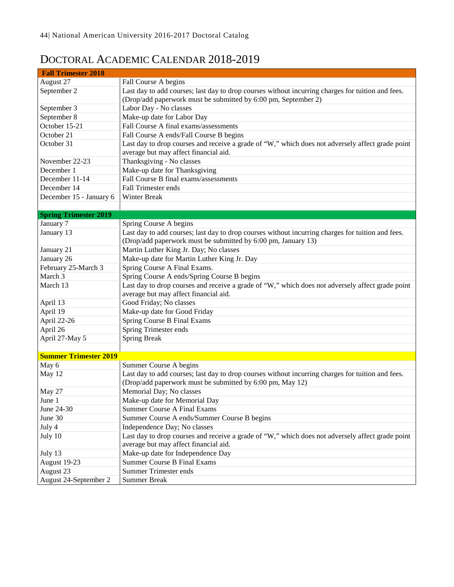### DOCTORAL ACADEMIC CALENDAR 2018-2019

| <b>Fall Trimester 2018</b>   |                                                                                                                                           |  |  |
|------------------------------|-------------------------------------------------------------------------------------------------------------------------------------------|--|--|
| August 27                    | Fall Course A begins                                                                                                                      |  |  |
| September 2                  | Last day to add courses; last day to drop courses without incurring charges for tuition and fees.                                         |  |  |
|                              | (Drop/add paperwork must be submitted by 6:00 pm, September 2)                                                                            |  |  |
| September 3                  | Labor Day - No classes                                                                                                                    |  |  |
| September 8                  | Make-up date for Labor Day                                                                                                                |  |  |
| October 15-21                | Fall Course A final exams/assessments                                                                                                     |  |  |
| October 21                   | Fall Course A ends/Fall Course B begins                                                                                                   |  |  |
| October 31                   | Last day to drop courses and receive a grade of "W," which does not adversely affect grade point<br>average but may affect financial aid. |  |  |
| November 22-23               | Thanksgiving - No classes                                                                                                                 |  |  |
| December 1                   | Make-up date for Thanksgiving                                                                                                             |  |  |
| December 11-14               | Fall Course B final exams/assessments                                                                                                     |  |  |
| December 14                  | <b>Fall Trimester ends</b>                                                                                                                |  |  |
| December 15 - January 6      | Winter Break                                                                                                                              |  |  |
|                              |                                                                                                                                           |  |  |
| <b>Spring Trimester 2019</b> |                                                                                                                                           |  |  |
| January 7                    | Spring Course A begins                                                                                                                    |  |  |
| January 13                   | Last day to add courses; last day to drop courses without incurring charges for tuition and fees.                                         |  |  |
|                              | (Drop/add paperwork must be submitted by 6:00 pm, January 13)                                                                             |  |  |
| January 21                   | Martin Luther King Jr. Day; No classes                                                                                                    |  |  |
| January 26                   | Make-up date for Martin Luther King Jr. Day                                                                                               |  |  |
| February 25-March 3          | Spring Course A Final Exams.                                                                                                              |  |  |
| March 3                      | Spring Course A ends/Spring Course B begins                                                                                               |  |  |
| March 13                     | Last day to drop courses and receive a grade of "W," which does not adversely affect grade point<br>average but may affect financial aid. |  |  |
| April 13                     | Good Friday; No classes                                                                                                                   |  |  |
| April 19                     | Make-up date for Good Friday                                                                                                              |  |  |
| April 22-26                  | Spring Course B Final Exams                                                                                                               |  |  |
| April 26                     | Spring Trimester ends                                                                                                                     |  |  |
| April 27-May 5               | <b>Spring Break</b>                                                                                                                       |  |  |
|                              |                                                                                                                                           |  |  |
| <b>Summer Trimester 2019</b> |                                                                                                                                           |  |  |
| May 6                        | Summer Course A begins                                                                                                                    |  |  |
| May 12                       | Last day to add courses; last day to drop courses without incurring charges for tuition and fees.                                         |  |  |
|                              | (Drop/add paperwork must be submitted by 6:00 pm, May 12)                                                                                 |  |  |
| May 27                       | Memorial Day; No classes                                                                                                                  |  |  |
| June 1                       | Make-up date for Memorial Day                                                                                                             |  |  |
| June 24-30                   | Summer Course A Final Exams                                                                                                               |  |  |
| June 30                      | Summer Course A ends/Summer Course B begins                                                                                               |  |  |
| July 4                       | Independence Day; No classes                                                                                                              |  |  |
| July 10                      | Last day to drop courses and receive a grade of "W," which does not adversely affect grade point<br>average but may affect financial aid. |  |  |
| July 13                      | Make-up date for Independence Day                                                                                                         |  |  |
| August 19-23                 | <b>Summer Course B Final Exams</b>                                                                                                        |  |  |
| August 23                    | <b>Summer Trimester ends</b>                                                                                                              |  |  |
| August 24-September 2        | <b>Summer Break</b>                                                                                                                       |  |  |
|                              |                                                                                                                                           |  |  |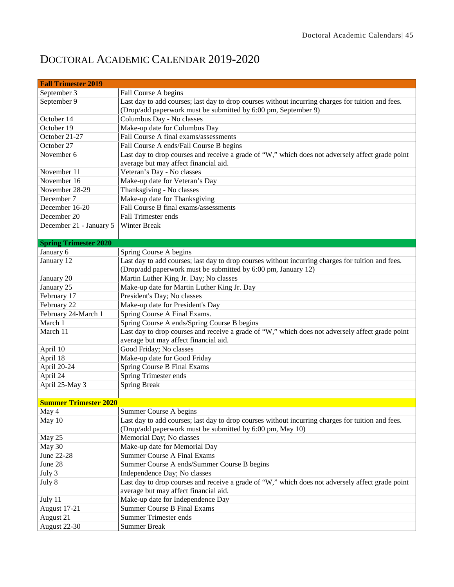### DOCTORAL ACADEMIC CALENDAR 2019-2020

| <b>Fall Trimester 2019</b>   |                                                                                                   |  |  |  |  |
|------------------------------|---------------------------------------------------------------------------------------------------|--|--|--|--|
| September 3                  | Fall Course A begins                                                                              |  |  |  |  |
| September 9                  | Last day to add courses; last day to drop courses without incurring charges for tuition and fees. |  |  |  |  |
|                              | (Drop/add paperwork must be submitted by 6:00 pm, September 9)                                    |  |  |  |  |
| October 14                   | Columbus Day - No classes                                                                         |  |  |  |  |
| October 19                   | Make-up date for Columbus Day                                                                     |  |  |  |  |
| October 21-27                | Fall Course A final exams/assessments                                                             |  |  |  |  |
| October 27                   | Fall Course A ends/Fall Course B begins                                                           |  |  |  |  |
| November 6                   | Last day to drop courses and receive a grade of "W," which does not adversely affect grade point  |  |  |  |  |
|                              | average but may affect financial aid.                                                             |  |  |  |  |
| November 11                  | Veteran's Day - No classes                                                                        |  |  |  |  |
| November 16                  | Make-up date for Veteran's Day                                                                    |  |  |  |  |
| November 28-29               | Thanksgiving - No classes                                                                         |  |  |  |  |
| December 7                   | Make-up date for Thanksgiving                                                                     |  |  |  |  |
| December 16-20               | Fall Course B final exams/assessments                                                             |  |  |  |  |
| December 20                  | <b>Fall Trimester ends</b>                                                                        |  |  |  |  |
| December 21 - January 5      | Winter Break                                                                                      |  |  |  |  |
|                              |                                                                                                   |  |  |  |  |
| <b>Spring Trimester 2020</b> |                                                                                                   |  |  |  |  |
| January 6                    | Spring Course A begins                                                                            |  |  |  |  |
| January 12                   | Last day to add courses; last day to drop courses without incurring charges for tuition and fees. |  |  |  |  |
|                              | (Drop/add paperwork must be submitted by 6:00 pm, January 12)                                     |  |  |  |  |
| January 20                   | Martin Luther King Jr. Day; No classes                                                            |  |  |  |  |
| January 25                   | Make-up date for Martin Luther King Jr. Day                                                       |  |  |  |  |
| February 17                  | President's Day; No classes                                                                       |  |  |  |  |
| February 22                  | Make-up date for President's Day                                                                  |  |  |  |  |
| February 24-March 1          | Spring Course A Final Exams.                                                                      |  |  |  |  |
| March 1                      | Spring Course A ends/Spring Course B begins                                                       |  |  |  |  |
| March 11                     | Last day to drop courses and receive a grade of "W," which does not adversely affect grade point  |  |  |  |  |
|                              | average but may affect financial aid.                                                             |  |  |  |  |
| April 10                     | Good Friday; No classes                                                                           |  |  |  |  |
| April 18                     | Make-up date for Good Friday                                                                      |  |  |  |  |
| April 20-24                  | Spring Course B Final Exams                                                                       |  |  |  |  |
| April 24                     | Spring Trimester ends                                                                             |  |  |  |  |
| April 25-May 3               | <b>Spring Break</b>                                                                               |  |  |  |  |
|                              |                                                                                                   |  |  |  |  |
| <b>Summer Trimester 2020</b> |                                                                                                   |  |  |  |  |
| May 4                        | Summer Course A begins                                                                            |  |  |  |  |
| May 10                       | Last day to add courses; last day to drop courses without incurring charges for tuition and fees. |  |  |  |  |
|                              | (Drop/add paperwork must be submitted by 6:00 pm, May 10)                                         |  |  |  |  |
| May 25                       | Memorial Day; No classes                                                                          |  |  |  |  |
| May 30                       | Make-up date for Memorial Day                                                                     |  |  |  |  |
| June 22-28                   | Summer Course A Final Exams                                                                       |  |  |  |  |
| June 28                      | Summer Course A ends/Summer Course B begins                                                       |  |  |  |  |
| July 3                       | Independence Day; No classes                                                                      |  |  |  |  |
| July 8                       | Last day to drop courses and receive a grade of "W," which does not adversely affect grade point  |  |  |  |  |
|                              | average but may affect financial aid.                                                             |  |  |  |  |
| July 11                      | Make-up date for Independence Day                                                                 |  |  |  |  |
| <b>August 17-21</b>          | <b>Summer Course B Final Exams</b>                                                                |  |  |  |  |
| August 21                    | <b>Summer Trimester ends</b>                                                                      |  |  |  |  |
| August 22-30                 | <b>Summer Break</b>                                                                               |  |  |  |  |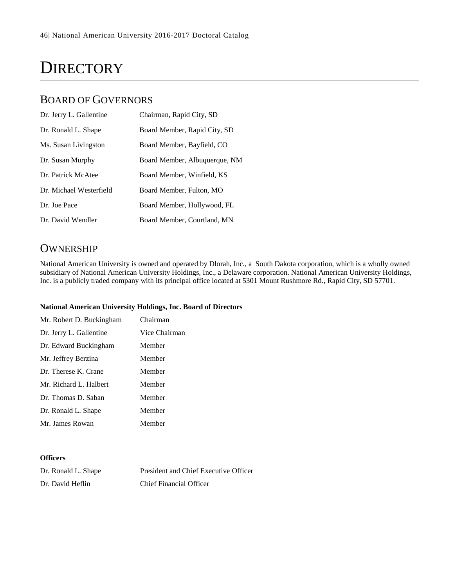# **DIRECTORY**

### BOARD OF GOVERNORS

| Dr. Jerry L. Gallentine | Chairman, Rapid City, SD      |
|-------------------------|-------------------------------|
| Dr. Ronald L. Shape     | Board Member, Rapid City, SD  |
| Ms. Susan Livingston    | Board Member, Bayfield, CO    |
| Dr. Susan Murphy        | Board Member, Albuquerque, NM |
| Dr. Patrick McAtee      | Board Member, Winfield, KS    |
| Dr. Michael Westerfield | Board Member, Fulton, MO      |
| Dr. Joe Pace            | Board Member, Hollywood, FL   |
| Dr. David Wendler       | Board Member, Courtland, MN   |

### **OWNERSHIP**

National American University is owned and operated by Dlorah, Inc., a South Dakota corporation, which is a wholly owned subsidiary of National American University Holdings, Inc., a Delaware corporation. National American University Holdings, Inc. is a publicly traded company with its principal office located at 5301 Mount Rushmore Rd., Rapid City, SD 57701.

### **National American University Holdings, Inc. Board of Directors**

| Mr. Robert D. Buckingham | Chairman      |
|--------------------------|---------------|
| Dr. Jerry L. Gallentine  | Vice Chairman |
| Dr. Edward Buckingham    | Member        |
| Mr. Jeffrey Berzina      | Member        |
| Dr. Therese K. Crane     | Member        |
| Mr. Richard L. Halbert   | Member        |
| Dr. Thomas D. Saban      | Member        |
| Dr. Ronald L. Shape      | Member        |
| Mr. James Rowan          | Member        |

### **Officers**

| Dr. Ronald L. Shape | President and Chief Executive Officer |
|---------------------|---------------------------------------|
| Dr. David Heflin    | Chief Financial Officer               |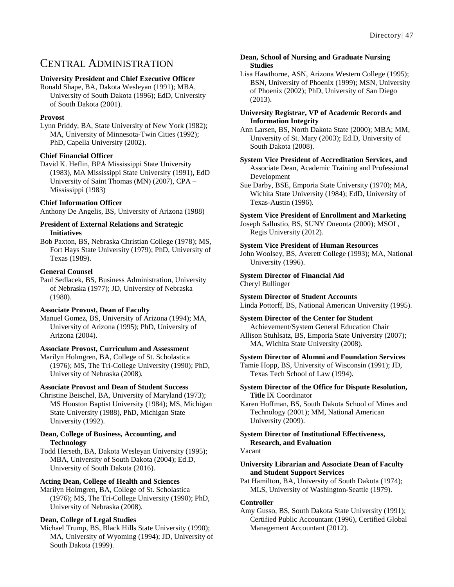### CENTRAL ADMINISTRATION

### **University President and Chief Executive Officer**

Ronald Shape, BA, Dakota Wesleyan (1991); MBA, University of South Dakota (1996); EdD, University of South Dakota (2001).

### **Provost**

Lynn Priddy, BA, State University of New York (1982); MA, University of Minnesota-Twin Cities (1992); PhD, Capella University (2002).

### **Chief Financial Officer**

David K. Heflin, BPA Mississippi State University (1983), MA Mississippi State University (1991), EdD University of Saint Thomas (MN) (2007), CPA – Mississippi (1983)

### **Chief Information Officer**

Anthony De Angelis, BS, University of Arizona (1988)

### **President of External Relations and Strategic Initiatives**

Bob Paxton, BS, Nebraska Christian College (1978); MS, Fort Hays State University (1979); PhD, University of Texas (1989).

### **General Counsel**

Paul Sedlacek, BS, Business Administration, University of Nebraska (1977); JD, University of Nebraska (1980).

### **Associate Provost, Dean of Faculty**

Manuel Gomez, BS, University of Arizona (1994); MA, University of Arizona (1995); PhD, University of Arizona (2004).

### **Associate Provost, Curriculum and Assessment**

Marilyn Holmgren, BA, College of St. Scholastica (1976); MS, The Tri-College University (1990); PhD, University of Nebraska (2008).

### **Associate Provost and Dean of Student Success**

Christine Beischel, BA, University of Maryland (1973); MS Houston Baptist University (1984); MS, Michigan State University (1988), PhD, Michigan State University (1992).

#### **Dean, College of Business, Accounting, and Technology**

Todd Herseth, BA, Dakota Wesleyan University (1995); MBA, University of South Dakota (2004); Ed.D, University of South Dakota (2016).

### **Acting Dean, College of Health and Sciences**

Marilyn Holmgren, BA, College of St. Scholastica (1976); MS, The Tri-College University (1990); PhD, University of Nebraska (2008).

### **Dean, College of Legal Studies**

Michael Trump, BS, Black Hills State University (1990); MA, University of Wyoming (1994); JD, University of South Dakota (1999).

#### **Dean, School of Nursing and Graduate Nursing Studies**

Lisa Hawthorne, ASN, Arizona Western College (1995); BSN, University of Phoenix (1999); MSN, University of Phoenix (2002); PhD, University of San Diego (2013).

#### **University Registrar, VP of Academic Records and Information Integrity**

Ann Larsen, BS, North Dakota State (2000); MBA; MM, University of St. Mary (2003); Ed.D, University of South Dakota (2008).

### **System Vice President of Accreditation Services, and** Associate Dean, Academic Training and Professional Development

Sue Darby, BSE, Emporia State University (1970); MA, Wichita State University (1984); EdD, University of Texas-Austin (1996).

### **System Vice President of Enrollment and Marketing**

Joseph Sallustio, BS, SUNY Oneonta (2000); MSOL, Regis University (2012).

### **System Vice President of Human Resources**

John Woolsey, BS, Averett College (1993); MA, National University (1996).

### **System Director of Financial Aid** Cheryl Bullinger

**System Director of Student Accounts** Linda Pottorff, BS, National American University (1995).

### **System Director of the Center for Student**

Achievement/System General Education Chair Allison Stuhlsatz, BS, Emporia State University (2007); MA, Wichita State University (2008).

### **System Director of Alumni and Foundation Services**

Tamie Hopp, BS, University of Wisconsin (1991); JD, Texas Tech School of Law (1994).

#### **System Director of the Office for Dispute Resolution, Title** IX Coordinator

Karen Hoffman, BS, South Dakota School of Mines and Technology (2001); MM, National American University (2009).

### **System Director of Institutional Effectiveness, Research, and Evaluation**

#### Vacant

#### **University Librarian and Associate Dean of Faculty and Student Support Services**

Pat Hamilton, BA, University of South Dakota (1974); MLS, University of Washington-Seattle (1979).

### **Controller**

Amy Gusso, BS, South Dakota State University (1991); Certified Public Accountant (1996), Certified Global Management Accountant (2012).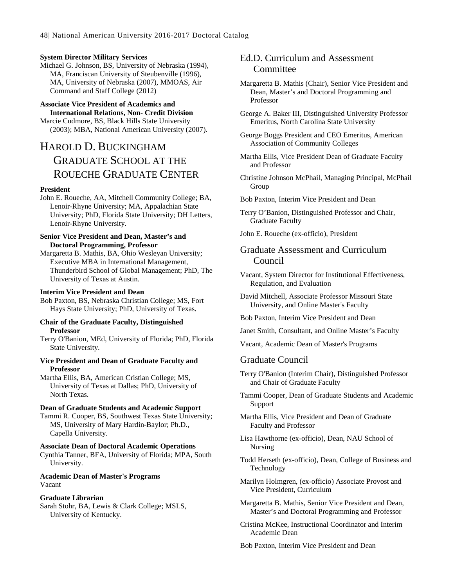#### **System Director Military Services**

Michael G. Johnson, BS, University of Nebraska (1994), MA, Franciscan University of Steubenville (1996), MA, University of Nebraska (2007), MMOAS, Air Command and Staff College (2012)

#### **Associate Vice President of Academics and International Relations, Non- Credit Division**

Marcie Cudmore, BS, Black Hills State University (2003); MBA, National American University (2007).

### HAROLD D. BUCKINGHAM GRADUATE SCHOOL AT THE ROUECHE GRADUATE CENTER

#### **President**

John E. Roueche, AA, Mitchell Community College; BA, Lenoir-Rhyne University; MA, Appalachian State University; PhD, Florida State University; DH Letters, Lenoir-Rhyne University.

#### **Senior Vice President and Dean, Master's and Doctoral Programming, Professor**

Margaretta B. Mathis, BA, Ohio Wesleyan University; Executive MBA in International Management, Thunderbird School of Global Management; PhD, The University of Texas at Austin.

#### **Interim Vice President and Dean**

Bob Paxton, BS, Nebraska Christian College; MS, Fort Hays State University; PhD, University of Texas.

#### **Chair of the Graduate Faculty, Distinguished Professor**

Terry O'Banion, MEd, University of Florida; PhD, Florida State University.

#### **Vice President and Dean of Graduate Faculty and Professor**

Martha Ellis, BA, American Cristian College; MS, University of Texas at Dallas; PhD, University of North Texas.

#### **Dean of Graduate Students and Academic Support**

Tammi R. Cooper, BS, Southwest Texas State University; MS, University of Mary Hardin-Baylor; Ph.D., Capella University.

#### **Associate Dean of Doctoral Academic Operations**

Cynthia Tanner, BFA, University of Florida; MPA, South University.

### **Academic Dean of Master's Programs** Vacant

#### **Graduate Librarian**

Sarah Stohr, BA, Lewis & Clark College; MSLS, University of Kentucky.

### Ed.D. Curriculum and Assessment **Committee**

- Margaretta B. Mathis (Chair), Senior Vice President and Dean, Master's and Doctoral Programming and Professor
- George A. Baker III, Distinguished University Professor Emeritus, North Carolina State University
- George Boggs President and CEO Emeritus, American Association of Community Colleges
- Martha Ellis, Vice President Dean of Graduate Faculty and Professor
- Christine Johnson McPhail, Managing Principal, McPhail Group
- Bob Paxton, Interim Vice President and Dean
- Terry O'Banion, Distinguished Professor and Chair, Graduate Faculty
- John E. Roueche (ex-officio), President

### Graduate Assessment and Curriculum Council

- Vacant, System Director for Institutional Effectiveness, Regulation, and Evaluation
- David Mitchell, Associate Professor Missouri State University, and Online Master's Faculty
- Bob Paxton, Interim Vice President and Dean
- Janet Smith, Consultant, and Online Master's Faculty
- Vacant, Academic Dean of Master's Programs

### Graduate Council

- Terry O'Banion (Interim Chair), Distinguished Professor and Chair of Graduate Faculty
- Tammi Cooper, Dean of Graduate Students and Academic Support
- Martha Ellis, Vice President and Dean of Graduate Faculty and Professor
- Lisa Hawthorne (ex-officio), Dean, NAU School of Nursing
- Todd Herseth (ex-officio), Dean, College of Business and Technology

Marilyn Holmgren, (ex-officio) Associate Provost and Vice President, Curriculum

- Margaretta B. Mathis, Senior Vice President and Dean, Master's and Doctoral Programming and Professor
- Cristina McKee, Instructional Coordinator and Interim Academic Dean

Bob Paxton, Interim Vice President and Dean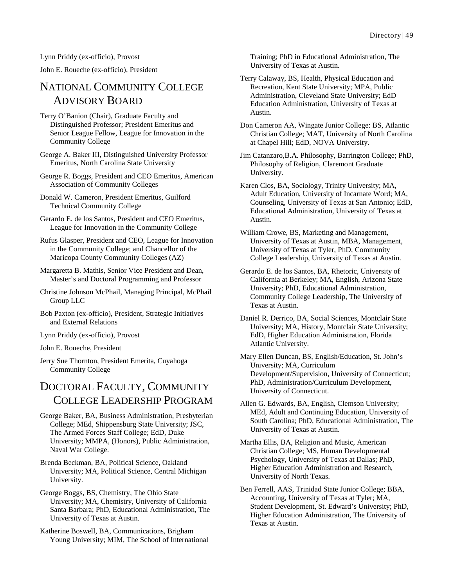Lynn Priddy (ex-officio), Provost

John E. Roueche (ex-officio), President

### NATIONAL COMMUNITY COLLEGE ADVISORY BOARD

Terry O'Banion (Chair), Graduate Faculty and Distinguished Professor; President Emeritus and Senior League Fellow, League for Innovation in the Community College

George A. Baker III, Distinguished University Professor Emeritus, North Carolina State University

George R. Boggs, President and CEO Emeritus, American Association of Community Colleges

Donald W. Cameron, President Emeritus, Guilford Technical Community College

Gerardo E. de los Santos, President and CEO Emeritus, League for Innovation in the Community College

Rufus Glasper, President and CEO, League for Innovation in the Community College; and Chancellor of the Maricopa County Community Colleges (AZ)

Margaretta B. Mathis, Senior Vice President and Dean, Master's and Doctoral Programming and Professor

Christine Johnson McPhail, Managing Principal, McPhail Group LLC

Bob Paxton (ex-officio), President, Strategic Initiatives and External Relations

Lynn Priddy (ex-officio), Provost

John E. Roueche, President

Jerry Sue Thornton, President Emerita, Cuyahoga Community College

### DOCTORAL FACULTY, COMMUNITY COLLEGE LEADERSHIP PROGRAM

George Baker, BA, Business Administration, Presbyterian College; MEd, Shippensburg State University; JSC, The Armed Forces Staff College; EdD, Duke University; MMPA, (Honors), Public Administration, Naval War College.

Brenda Beckman, BA, Political Science, Oakland University; MA, Political Science, Central Michigan University.

George Boggs, BS, Chemistry, The Ohio State University; MA, Chemistry, University of California Santa Barbara; PhD, Educational Administration, The University of Texas at Austin.

Katherine Boswell, BA, Communications, Brigham Young University; MIM, The School of International Training; PhD in Educational Administration, The University of Texas at Austin.

Terry Calaway, BS, Health, Physical Education and Recreation, Kent State University; MPA, Public Administration, Cleveland State University; EdD Education Administration, University of Texas at Austin.

Don Cameron AA, Wingate Junior College: BS, Atlantic Christian College; MAT, University of North Carolina at Chapel Hill; EdD, NOVA University.

Jim Catanzaro,B.A. Philosophy, Barrington College; PhD, Philosophy of Religion, Claremont Graduate University.

Karen Clos, BA, Sociology, Trinity University; MA, Adult Education, University of Incarnate Word; MA, Counseling, University of Texas at San Antonio; EdD, Educational Administration, University of Texas at Austin.

William Crowe, BS, Marketing and Management, University of Texas at Austin, MBA, Management, University of Texas at Tyler, PhD, Community College Leadership, University of Texas at Austin.

Gerardo E. de los Santos, BA, Rhetoric, University of California at Berkeley; MA, English, Arizona State University; PhD, Educational Administration, Community College Leadership, The University of Texas at Austin.

Daniel R. Derrico, BA, Social Sciences, Montclair State University; MA, History, Montclair State University; EdD, Higher Education Administration, Florida Atlantic University.

Mary Ellen Duncan, BS, English/Education, St. John's University; MA, Curriculum Development/Supervision, University of Connecticut; PhD, Administration/Curriculum Development, University of Connecticut.

Allen G. Edwards, BA, English, Clemson University; MEd, Adult and Continuing Education, University of South Carolina; PhD, Educational Administration, The University of Texas at Austin.

Martha Ellis, BA, Religion and Music, American Christian College; MS, Human Developmental Psychology, University of Texas at Dallas; PhD, Higher Education Administration and Research, University of North Texas.

Ben Ferrell, AAS, Trinidad State Junior College; BBA, Accounting, University of Texas at Tyler; MA, Student Development, St. Edward's University; PhD, Higher Education Administration, The University of Texas at Austin.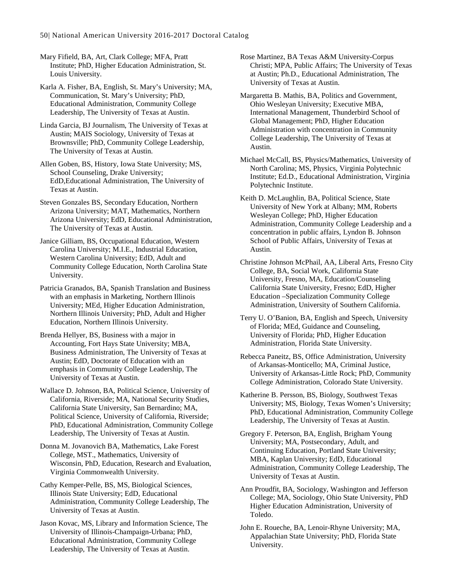Mary Fifield, BA, Art, Clark College; MFA, Pratt Institute; PhD, Higher Education Administration, St. Louis University.

Karla A. Fisher, BA, English, St. Mary's University; MA, Communication, St. Mary's University; PhD, Educational Administration, Community College Leadership, The University of Texas at Austin.

Linda Garcia, BJ Journalism, The University of Texas at Austin; MAIS Sociology, University of Texas at Brownsville; PhD, Community College Leadership, The University of Texas at Austin.

Allen Goben, BS, History, Iowa State University; MS, School Counseling, Drake University; EdD,Educational Administration, The University of Texas at Austin.

Steven Gonzales BS, Secondary Education, Northern Arizona University; MAT, Mathematics, Northern Arizona University; EdD, Educational Administration, The University of Texas at Austin.

Janice Gilliam, BS, Occupational Education, Western Carolina University; M.I.E., Industrial Education, Western Carolina University; EdD, Adult and Community College Education, North Carolina State University.

Patricia Granados, BA, Spanish Translation and Business with an emphasis in Marketing, Northern Illinois University; MEd, Higher Education Administration, Northern Illinois University; PhD, Adult and Higher Education, Northern Illinois University.

Brenda Hellyer, BS, Business with a major in Accounting, Fort Hays State University; MBA, Business Administration, The University of Texas at Austin; EdD, Doctorate of Education with an emphasis in Community College Leadership, The University of Texas at Austin.

Wallace D. Johnson, BA, Political Science, University of California, Riverside; MA, National Security Studies, California State University, San Bernardino; MA, Political Science, University of California, Riverside; PhD, Educational Administration, Community College Leadership, The University of Texas at Austin.

Donna M. Jovanovich BA, Mathematics, Lake Forest College, MST., Mathematics, University of Wisconsin, PhD, Education, Research and Evaluation, Virginia Commonwealth University.

Cathy Kemper-Pelle, BS, MS, Biological Sciences, Illinois State University; EdD, Educational Administration, Community College Leadership, The University of Texas at Austin.

Jason Kovac, MS, Library and Information Science, The University of Illinois-Champaign-Urbana; PhD, Educational Administration, Community College Leadership, The University of Texas at Austin.

Rose Martinez, BA Texas A&M University-Corpus Christi; MPA, Public Affairs; The University of Texas at Austin; Ph.D., Educational Administration, The University of Texas at Austin.

Margaretta B. Mathis, BA, Politics and Government, Ohio Wesleyan University; Executive MBA, International Management, Thunderbird School of Global Management; PhD, Higher Education Administration with concentration in Community College Leadership, The University of Texas at Austin.

Michael McCall, BS, Physics/Mathematics, University of North Carolina; MS, Physics, Virginia Polytechnic Institute; Ed.D., Educational Administration, Virginia Polytechnic Institute.

Keith D. McLaughlin, BA, Political Science, State University of New York at Albany; MM, Roberts Wesleyan College; PhD, Higher Education Administration, Community College Leadership and a concentration in public affairs, Lyndon B. Johnson School of Public Affairs, University of Texas at Austin.

Christine Johnson McPhail, AA, Liberal Arts, Fresno City College, BA, Social Work, California State University, Fresno, MA, Education/Counseling California State University, Fresno; EdD, Higher Education –Specialization Community College Administration, University of Southern California.

Terry U. O'Banion, BA, English and Speech, University of Florida; MEd, Guidance and Counseling, University of Florida; PhD, Higher Education Administration, Florida State University.

Rebecca Paneitz, BS, Office Administration, University of Arkansas-Monticello; MA, Criminal Justice, University of Arkansas-Little Rock; PhD, Community College Administration, Colorado State University.

Katherine B. Persson, BS, Biology, Southwest Texas University; MS, Biology, Texas Women's University; PhD, Educational Administration, Community College Leadership, The University of Texas at Austin.

Gregory F. Peterson, BA, English, Brigham Young University; MA, Postsecondary, Adult, and Continuing Education, Portland State University; MBA, Kaplan University; EdD, Educational Administration, Community College Leadership, The University of Texas at Austin.

Ann Proudfit, BA, Sociology, Washington and Jefferson College; MA, Sociology, Ohio State University, PhD Higher Education Administration, University of Toledo.

John E. Roueche, BA, Lenoir-Rhyne University; MA, Appalachian State University; PhD, Florida State University.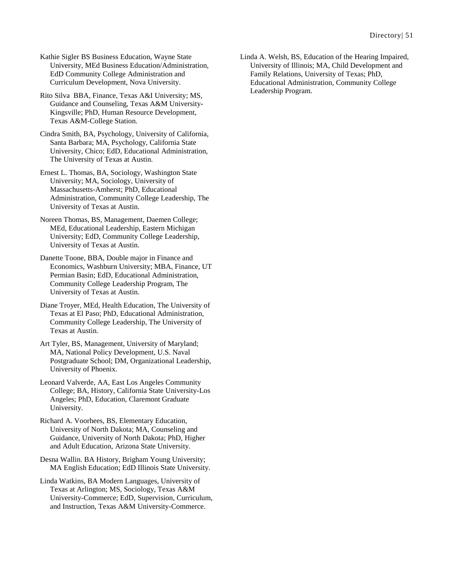Kathie Sigler BS Business Education, Wayne State University, MEd Business Education/Administration, EdD Community College Administration and Curriculum Development, Nova University.

Rito Silva BBA, Finance, Texas A&I University; MS, Guidance and Counseling, Texas A&M University-Kingsville; PhD, Human Resource Development, Texas A&M-College Station.

Cindra Smith, BA, Psychology, University of California, Santa Barbara; MA, Psychology, California State University, Chico; EdD, Educational Administration, The University of Texas at Austin.

Ernest L. Thomas, BA, Sociology, Washington State University; MA, Sociology, University of Massachusetts-Amherst; PhD, Educational Administration, Community College Leadership, The University of Texas at Austin.

Noreen Thomas, BS, Management, Daemen College; MEd, Educational Leadership, Eastern Michigan University; EdD, Community College Leadership, University of Texas at Austin.

Danette Toone, BBA, Double major in Finance and Economics, Washburn University; MBA, Finance, UT Permian Basin; EdD, Educational Administration, Community College Leadership Program, The University of Texas at Austin.

Diane Troyer, MEd, Health Education, The University of Texas at El Paso; PhD, Educational Administration, Community College Leadership, The University of Texas at Austin.

Art Tyler, BS, Management, University of Maryland; MA, National Policy Development, U.S. Naval Postgraduate School; DM, Organizational Leadership, University of Phoenix.

Leonard Valverde, AA, East Los Angeles Community College; BA, History, California State University-Los Angeles; PhD, Education, Claremont Graduate University.

Richard A. Voorhees, BS, Elementary Education, University of North Dakota; MA, Counseling and Guidance, University of North Dakota; PhD, Higher and Adult Education, Arizona State University.

Desna Wallin. BA History, Brigham Young University; MA English Education; EdD Illinois State University.

Linda Watkins, BA Modern Languages, University of Texas at Arlington; MS, Sociology, Texas A&M University-Commerce; EdD, Supervision, Curriculum, and Instruction, Texas A&M University-Commerce.

Linda A. Welsh, BS, Education of the Hearing Impaired, University of Illinois; MA, Child Development and Family Relations, University of Texas; PhD, Educational Administration, Community College Leadership Program.